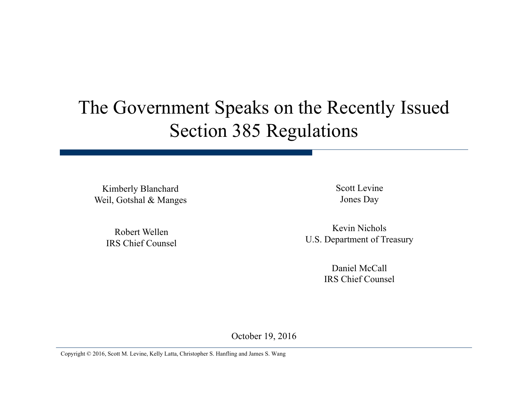#### The Government Speaks on the Recently Issued Section 385 Regulations

Kimberly Blanchard Weil, Gotshal & Manges

> Robert Wellen IRS Chief Counsel

Scott LevineJones Day

Kevin NicholsU.S. Department of Treasury

> Daniel McCallIRS Chief Counsel

October 19, 2016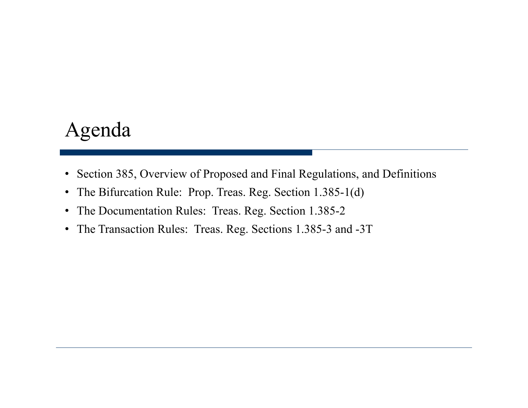#### Agenda

- Section 385, Overview of Proposed and Final Regulations, and Definitions
- The Bifurcation Rule: Prop. Treas. Reg. Section 1.385-1(d)
- The Documentation Rules: Treas. Reg. Section 1.385-2
- The Transaction Rules: Treas. Reg. Sections 1.385-3 and -3T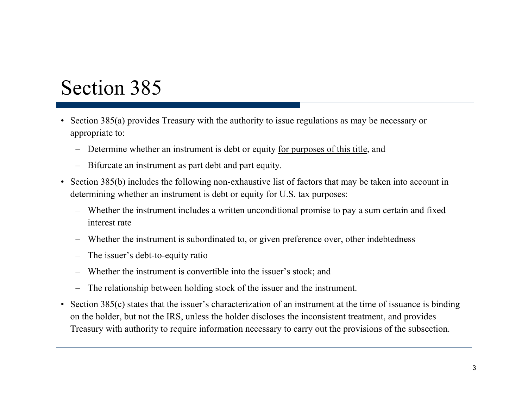#### Section 385

- Section 385(a) provides Treasury with the authority to issue regulations as may be necessary or appropriate to:
	- Determine whether an instrument is debt or equity for purposes of this title, and
	- Bifurcate an instrument as part debt and part equity.
- Section 385(b) includes the following non-exhaustive list of factors that may be taken into account in determining whether an instrument is debt or equity for U.S. tax purposes:
	- Whether the instrument includes a written unconditional promise to pay a sum certain and fixed interest rate
	- Whether the instrument is subordinated to, or given preference over, other indebtedness
	- The issuer's debt-to-equity ratio
	- Whether the instrument is convertible into the issuer's stock; and
	- The relationship between holding stock of the issuer and the instrument.
- Section 385(c) states that the issuer's characterization of an instrument at the time of issuance is binding on the holder, but not the IRS, unless the holder discloses the inconsistent treatment, and provides Treasury with authority to require information necessary to carry out the provisions of the subsection.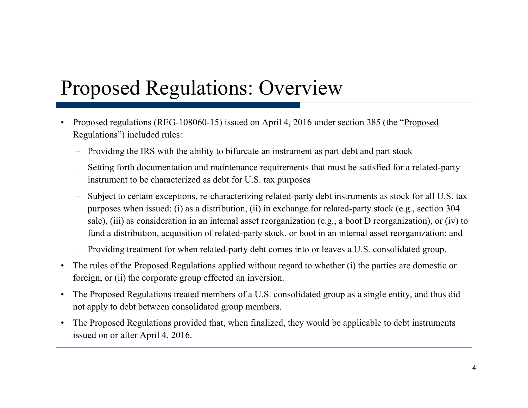## Proposed Regulations: Overview

- •Proposed regulations (REG-108060-15) issued on April 4, 2016 under section 385 (the "Proposed Regulations") included rules:
	- Providing the IRS with the ability to bifurcate an instrument as part debt and part stock
	- Setting forth documentation and maintenance requirements that must be satisfied for a related-party instrument to be characterized as debt for U.S. tax purposes
	- Subject to certain exceptions, re-characterizing related-party debt instruments as stock for all U.S. tax purposes when issued: (i) as a distribution, (ii) in exchange for related-party stock (e.g., section 304 sale), (iii) as consideration in an internal asset reorganization (e.g., a boot D reorganization), or (iv) to fund a distribution, acquisition of related-party stock, or boot in an internal asset reorganization; and
	- Providing treatment for when related-party debt comes into or leaves a U.S. consolidated group.
- The rules of the Proposed Regulations applied without regard to whether (i) the parties are domestic or foreign, or  $(ii)$  the corporate group effected an inversion.
- $\bullet$  The Proposed Regulations treated members of a U.S. consolidated group as a single entity, and thus did not apply to debt between consolidated group members.
- $\bullet$  The Proposed Regulations provided that, when finalized, they would be applicable to debt instruments issued on or after April 4, 2016.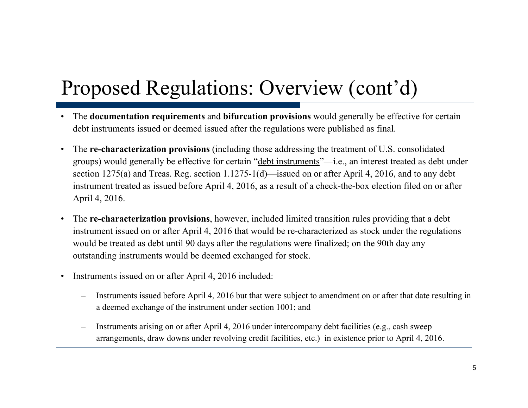# Proposed Regulations: Overview (cont'd)

- • The **documentation requirements** and **bifurcation provisions** would generally be effective for certain debt instruments issued or deemed issued after the regulations were published as final.
- $\bullet$  The **re-characterization provisions** (including those addressing the treatment of U.S. consolidated groups) would generally be effective for certain "debt instruments"—i.e., an interest treated as debt under section 1275(a) and Treas. Reg. section 1.1275-1(d)—issued on or after April 4, 2016, and to any debt instrument treated as issued before April 4, 2016, as a result of a check-the-box election filed on or after April 4, 2016.
- • The **re-characterization provisions**, however, included limited transition rules providing that a debt instrument issued on or after April 4, 2016 that would be re-characterized as stock under the regulations would be treated as debt until 90 days after the regulations were finalized; on the 90th day any outstanding instruments would be deemed exchanged for stock.
- • Instruments issued on or after April 4, 2016 included:
	- – Instruments issued before April 4, 2016 but that were subject to amendment on or after that date resulting in a deemed exchange of the instrument under section 1001; and
	- – Instruments arising on or after April 4, 2016 under intercompany debt facilities (e.g., cash sweep arrangements, draw downs under revolving credit facilities, etc.) in existence prior to April 4, 2016.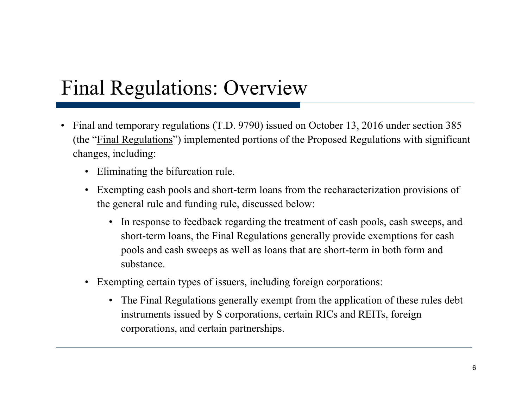# Final Regulations: Overview

- Final and temporary regulations  $(T.D. 9790)$  issued on October 13, 2016 under section 385 (the "Final Regulations") implemented portions of the Proposed Regulations with significant changes, including:
	- Eliminating the bifurcation rule.
	- $\bullet$  Exempting cash pools and short-term loans from the recharacterization provisions of the general rule and funding rule, discussed below:
		- In response to feedback regarding the treatment of cash pools, cash sweeps, and short-term loans, the Final Regulations generally provide exemptions for cash pools and cash sweeps as well as loans that are short-term in both form and substance.
	- Exempting certain types of issuers, including foreign corporations:
		- The Final Regulations generally exempt from the application of these rules debt instruments issued by S corporations, certain RICs and REITs, foreign corporations, and certain partnerships.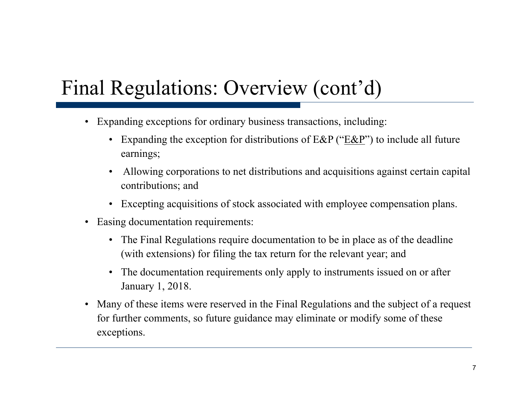# Final Regulations: Overview (cont'd)

- •Expanding exceptions for ordinary business transactions, including:
	- Expanding the exception for distributions of  $E\&P$  (" $E\&P$ ") to include all future earnings;
	- • Allowing corporations to net distributions and acquisitions against certain capital contributions; and
	- Excepting acquisitions of stock associated with employee compensation plans.
- $\bullet$  Easing documentation requirements:
	- The Final Regulations require documentation to be in place as of the deadline (with extensions) for filing the tax return for the relevant year; and
	- The documentation requirements only apply to instruments issued on or after January 1, 2018.
- Many of these items were reserved in the Final Regulations and the subject of a request for further comments, so future guidance may eliminate or modify some of these exceptions .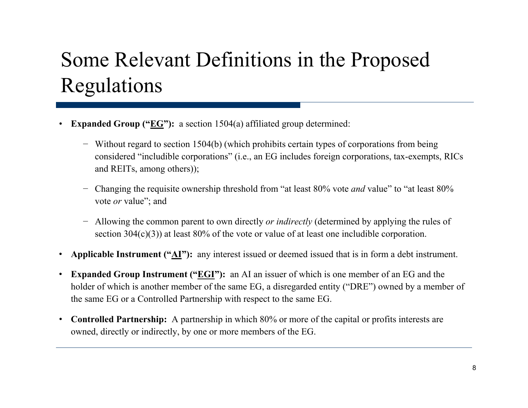## Some Relevant Definitions in the Proposed Re gulations

- •• **Expanded Group ("EG"):** a section 1504(a) affiliated group determined:
	- − Without regard to section 1504(b) (which prohibits certain types of corporations from being considered "includible corporations" (i.e., an EG includes foreign corporations, tax-exempts, RICs and REITs, among others));
	- − Changing the requisite ownership threshold from "at least 80% vote *and* value" to "at least 80% vote *or* value"; and
	- − Allowing the common parent to own directly *or indirectly* (determined by applying the rules of section 304(c)(3)) at least 80% of the vote or value of at least one includible corporation.
- •**Applicable Instrument ("AI"):** any interest issued or deemed issued that is in form a debt instrument.
- $\bullet$  **Expanded Group Instrument ("EGI"):** an AI an issuer of which is one member of an EG and the holder of which is another member of the same EG, a disregarded entity ("DRE") owned by a member of the same EG or a Controlled Partnership with respect to the same EG.
- $\bullet$  **Controlled Partnership:** A partnership in which 80% or more of the capital or profits interests are owned, directly or indirectly, by one or more members of the EG.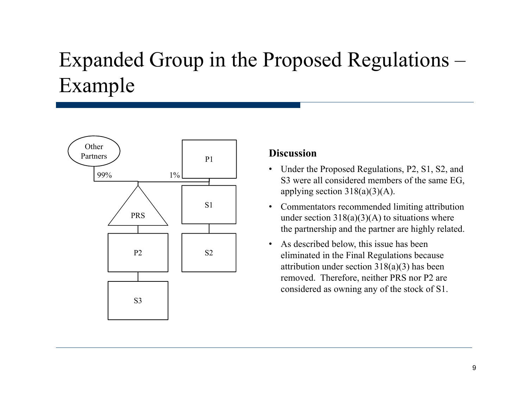#### Expanded Group in the Proposed Regulations – Example



#### **Discussion**

- Under the Proposed Regulations, P2, S1, S2, and  $\frac{1\%}{1\%}$  S3 were all considered members of the same EG, applying section  $318(a)(3)(A)$ .
	- • Commentators recommended limiting attribution under section  $318(a)(3)(A)$  to situations where the partnership and the partner are highly related.
	- As described below, this issue has been eliminated in the Final Regulations because attribution under section 318(a)(3) has been removed. Therefore, neither PRS nor P2 are considered as owning any of the stock of S1.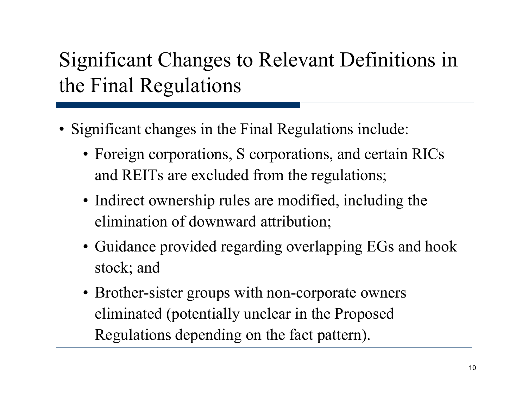## Significant Changes to Relevant Definitions in the Final Re gulations

- Significant changes in the Final Regulations include:
	- Foreign corporations, S corporations, and certain RICs and REITs are excluded from the regulations;
	- Indirect ownership rules are modified, including the elimination of downward attribution;
	- Guidance provided regarding overlapping EGs and hook stock; and
	- Brother-sister groups with non-corporate owners eliminated (potentially unclear in the Proposed Regulations depending on the fact pattern).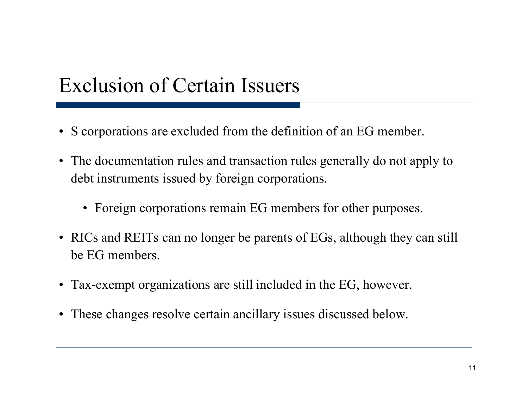#### Exclusion of Certain Issuers

- S corporations are excluded from the definition of an EG member.
- The documentation rules and transaction rules generally do not apply to debt instruments issued by foreign corporations.
	- Foreign corporations remain EG members for other purposes.
- RICs and REITs can no longer be parents of EGs, although they can still be EG members.
- Tax-exempt organizations are still included in the EG, however.
- These changes resolve certain ancillary issues discussed below.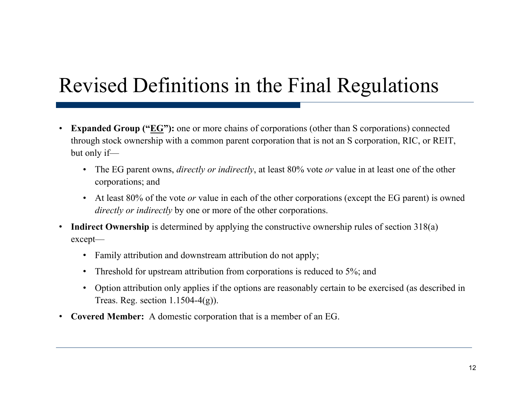### Revised Definitions in the Final Re gulations

- •**• Expanded Group ("** $\underline{EG}$ **"):** one or more chains of corporations (other than S corporations) connected through stock ownership with a common parent corporation that is not an S corporation, RIC, or REIT, but only if—
	- The EG parent owns, *directly or indirectly*, at least 80% vote *or* value in at least one of the other corporations; an d
	- At least 80% of the vote *or* value in each of the other corporations (except the EG parent) is owned *directly or indirectly* by one or more of the other corporations.
- $\bullet$ **Indirect Ownership** is determined by applying the constructive ownership rules of section 318(a) except—
	- Family attribution and downstream attribution do not apply;
	- Threshold for upstream attribution from corporations is reduced to 5%; and
	- Option attribution only applies if the options are reasonably certain to be exercised (as described in Treas. Reg. section 1.1504-4(g)).
- •**Covered Member:** A domestic corporation that is a member of an EG.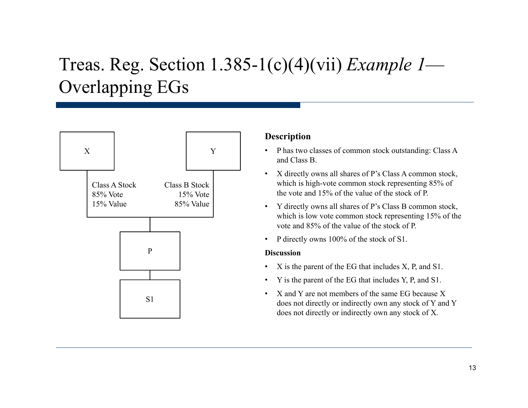#### Treas. Reg. Section 1.385-1(c)(4)(vii) *Example 1* Overlapping EGs



#### **Description**

- • P has two classes of common stock outstanding: Class A and Class B.
- • X directl y owns all shares of P's Class A common stock, which is high-vote common stock representing 85% of the vote and 15% of the value of the stock of P.
- Y directly owns all shares of P's Class B common stock, which is low vote common stock representing 15% of the vote and 85% of the value of the stock of P.
- •P directly owns 100% of the stock of S1.

#### **Discussion**

- •X is the parent of the EG that includes X, P, and S1.
- •• Y is the parent of the EG that includes Y, P, and S1.
- •X and Y are not members of the same EG because X does not directly or indirectly own any stock of Y and Y does not directly or indirectly own any stock of X.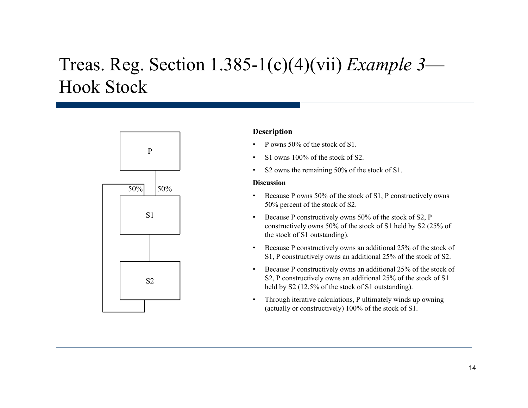#### Treas. Reg. Section 1.385-1(c)(4)(vii) *Example 3* Hook Stock



#### **Description**

- P owns 50% of the stock of S1.
- •S1 owns 100% of the stock of S2.
- •S2 owns the remaining 50% of the stock of S1.

#### **Discussion**

- • Because P owns 50% of the stock of S1, P constructively owns 50% percent of the stock of S2.
- • Because P constructively owns 50% of the stock of S2, P constructively owns 50% of the stock of S1 held by S2 (25% of the stock of S1 outstanding).
- • Because P constructively owns an additional 25% of the stock of S1, P constructively owns an additional 25% of the stock of S2.
- • Because P constructively owns an additional 25% of the stock of  $S2$  S2, P constructively owns an additional 25% of the stock of S1 held by S2 (12.5% of the stock of S1 outstanding).
	- • Through iterative calculations, P ultimately winds up owning (actually or constructively) 100% of the stock of S1.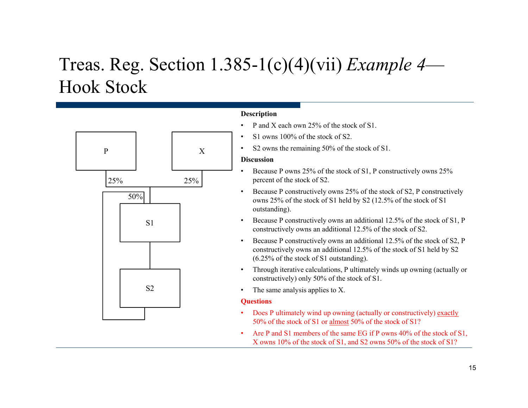#### Treas. Reg. Section 1.385-1(c)(4)(vii) *Example 4* Hook Stock



#### **Description**

- •• P and X each own 25% of the stock of S1.
- $\bullet$ S1 owns 100% of the stock of S2.
- •S2 owns the remaining 50% of the stock of S1.

#### **Discussion**

- • Because P owns 25% of the stock of S1, P constructively owns 25% percent of the stock of S2.
- • Because P constructively owns 25% of the stock of S2, P constructively owns 25% of the stock of S1 held by S2 (12.5% of the stock of S1 outstanding).
- • Because P constructively owns an additional 12.5% of the stock of S1, P constructively owns an additional  $12.5\%$  of the stock of S2.
- • Because P constructively owns an additional 12.5% of the stock of S2, P constructively owns an additional 12.5% of the stock of S1 held by S2 (6.25% of the stock of S1 outstanding).
- • Through iterative calculations, P ultimately winds up owning (actually or constructively) only 50% of the stock of S1.
- •The same analysis applies to X.

#### **Questions**

- •Does P ultimately wind up owning (actually or constructively) exactly 50% of the stock of S1 or almost 50% of the stock of S1?
- •• Are P and S1 members of the same EG if P owns  $40\%$  of the stock of S1, X owns 10% of the stock of S1, and S2 owns 50% of the stock of S1?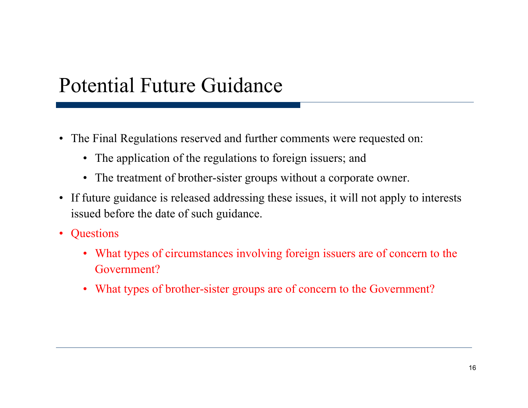#### Potential Future Guidance

- The Final Regulations reserved and further comments were requested on:
	- The application of the regulations to foreign issuers; and
	- The treatment of brother-sister groups without a corporate owner.
- If future guidance is released addressing these issues, it will not apply to interests issued before the date of such guidance.
- $\bullet$ **Questions** 
	- What types of circumstances involving foreign issuers are of concern to the Government?
	- What types of brother-sister groups are of concern to the Government?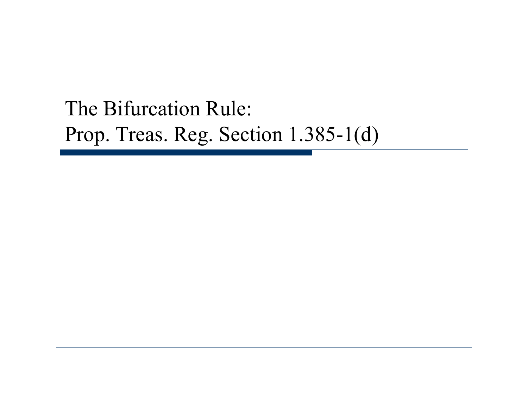### The Bifurcation Rule: Prop. Treas. Re g. Sect ion 1.385-1(d)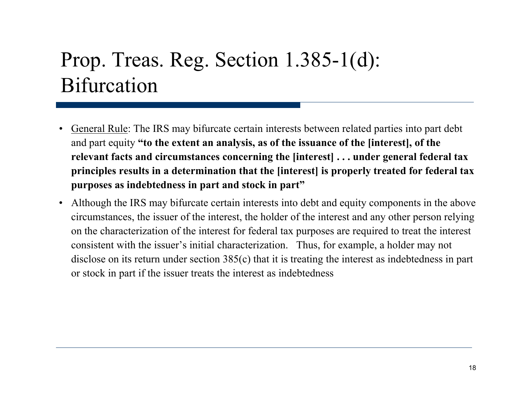### Prop. Treas. Reg. Section 1.385-1(d): Bifurcation

- •• General Rule: The IRS may bifurcate certain interests between related parties into part debt and part equity **"to the extent an analysis, as of the issuance of the [interest], of the relevant facts and circumstances concerning the [interest] . . . under general federal tax principles results in a determination that the [interest] is properly treated for federal tax purposes as indebtedness in part and stock in part"**
- $\bullet$  Although the IRS may bifurcate certain interests into debt and equity components in the above circumstances, the issuer of the interest, the holder of the interest and any other person relying on the characterization of the interest for federal tax purposes are required to treat the interest consistent with the issuer's initial characterization. Thus, for example, a holder may not disclose on its return under section 385(c) that it is treating the interest as indebtedness in part or stock in part if the issuer treats the interest as indebtedness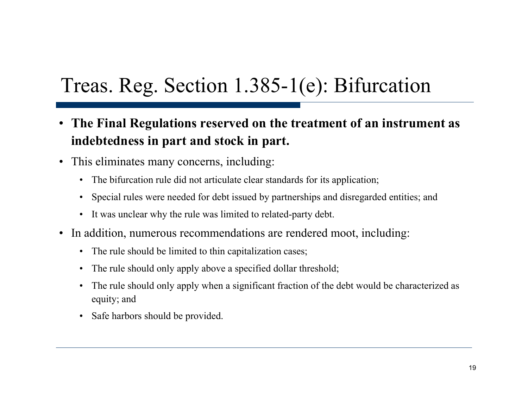### Treas. Reg. Section 1.385-1(e): Bifurcation

- The Final Regulations reserved on the treatment of an instrument as **indebtedness in part and stock in part.**
- This eliminates many concerns, including:
	- The bifurcation rule did not articulate clear standards for its application;
	- Special rules were needed for debt issued by partnerships and disregarded entities; and
	- It was unclear why the rule was limited to related-party debt.
- In addition, numerous recommendations are rendered moot, including:
	- The rule should be limited to thin capitalization cases;
	- The rule should only apply above a specified dollar threshold;
	- The rule should only apply when a significant fraction of the debt would be characterized as equity; and
	- Safe harbors should be provided.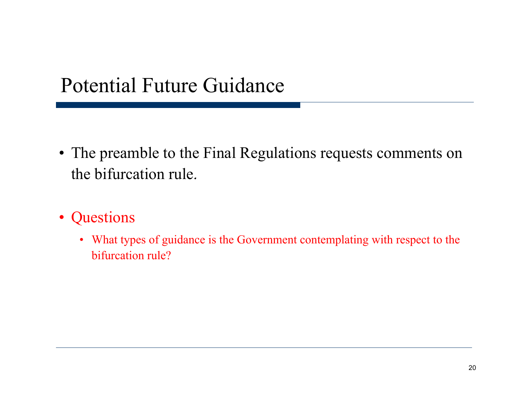#### Potential Future Guidance

- The preamble to the Final Regulations requests comments on the bifurcation rule.
- Questions
	- What types of guidance is the Government contemplating with respect to the bifurcation rule?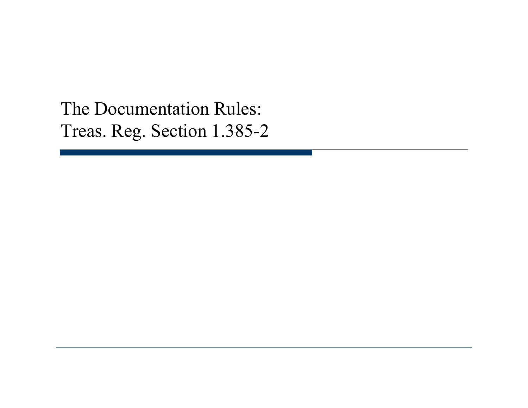The Documentation Rules: Treas. Reg. Section 1.385-2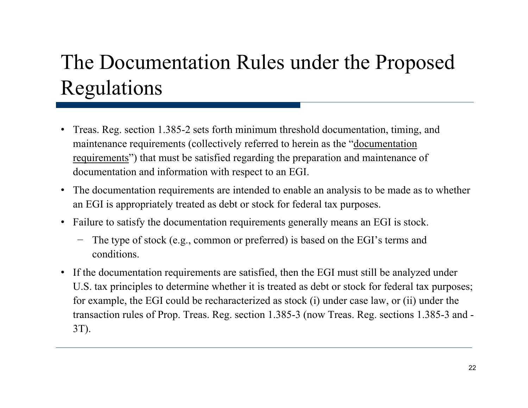## The Documentation Rules under the Proposed Regulations

- Treas. Reg. section 1.385-2 sets forth minimum threshold documentation, timing, and maintenance requirements (collectively referred to herein as the "documentation requirements") that must be satisfied regarding the preparation and maintenance of documentation and information with respect to an EGI.
- The documentation requirements are intended to enable an analysis to be made as to whether an EGI is appropriately treated as debt or stock for federal tax purposes.
- Failure to satisfy the documentation requirements generally means an EGI is stock.
	- − The type of stock (e.g., common or preferred) is based on the EGI's terms and conditions.
- If the documentation requirements are satisfied, then the EGI must still be analyzed under U.S. tax principles to determine whether it is treated as debt or stock for federal tax purposes; for example, the EGI could be recharacterized as stock (i) under case law, or (ii) under the transaction rules of Prop. Treas. Reg. section 1.385-3 (now Treas. Reg. sections 1.385-3 and -  $3T$ ).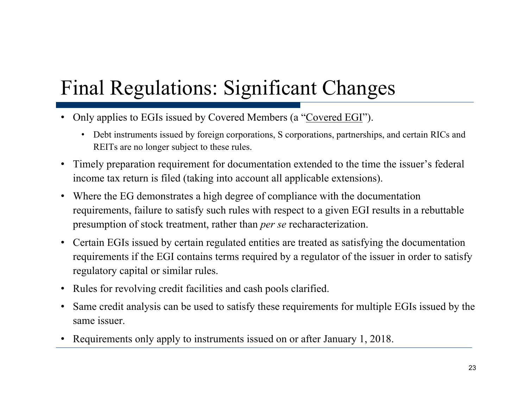# Final Regulations: Significant Changes

- Only applies to EGIs issued by Covered Members (a "Covered EGI").
	- Debt instruments issued by foreign corporations, S corporations, partnerships, and certain RICs and REITs are no longer subject to these rules.
- Timely preparation requirement for documentation extended to the time the issuer's federal income tax return is filed (taking into account all applicable extensions).
- Where the EG demonstrates a high degree of compliance with the documentation requirements, failure to satisfy such rules with respect to a given EGI results in a rebuttable presumption of stock treatment, rather than *per se* recharacterization.
- Certain EGIs issued by certain regulated entities are treated as satisfying the documentation requirements if the EGI contains terms required by a regulator of the issuer in order to satisfy regulatory capital or similar rules.
- Rules for revolving credit facilities and cash pools clarified.
- • Same credit analysis can be used to satisfy these requirements for multiple EGIs issued by the same issuer.
- •Requirements only apply to instruments issued on or after January 1, 2018.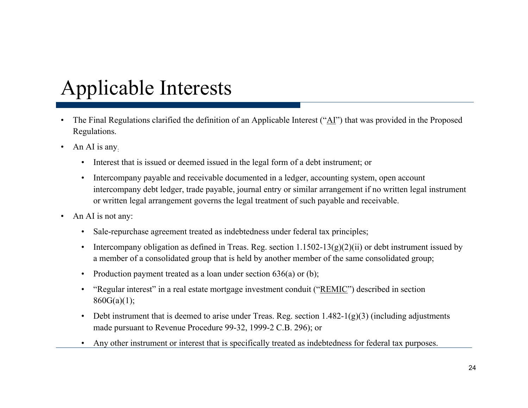# Applicable Interests

- $\bullet$  The Final Regulations clarified the definition of an Applicable Interest ("AI") that was provided in the Proposed Regulations.
- $\bullet$  An AI is any:
	- Interest that is issued or deemed issued in the legal form of a debt instrument; or
	- •Intercompany payable and receivable documented in a ledger, accounting system, open account intercompany debt ledger, trade payable, journal entry or similar arrangement if no written legal instrument or written legal arrangement governs the legal treatment of such payable and receivable.
- •An AI is not any:
	- •• Sale-repurchase agreement treated as indebtedness under federal tax principles;
	- •Intercompany obligation as defined in Treas. Reg. section  $1.1502 - 13(g)(2)(ii)$  or debt instrument issued by a member of a consolidated group that is held by another member of the same consolidated group;
	- •Production payment treated as a loan under section 636(a) or (b);
	- • "Regular interest" in a real estate mortgage investment conduit ("REMIC") described in section  $860G(a)(1);$
	- • Debt instrument that is deemed to arise under Treas. Reg. section 1.482-1(g)(3) (including adjustments made pursuant to Revenue Procedure 99-32, 1999-2 C.B. 296); or
	- •Any other instrument or interest that is specifically treated as indebtedness for federal tax purposes.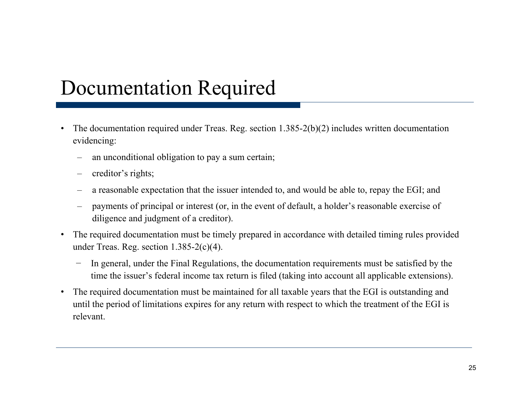#### Documentation Required

- The documentation required under Treas. Reg. section  $1.385-2(b)(2)$  includes written documentation •evidencing:
	- an unconditional obligation to pay a sum certain;
	- creditor's rights;
	- a reasonable expectation that the issuer intended to, and would be able to, repay the EGI; and
	- payments of principal or interest (or, in the event of default, a holder's reasonable exercise of diligence and judgment of a creditor).
- $\bullet$  The required documentation must be timely prepared in accordance with detailed timing rules provided under Treas. Reg. section 1.385-2(c)(4).
	- In general, under the Final Regulations, the documentation requirements must be satisfied by the time the issuer's federal income tax return is filed (taking into account all applicable extensions).
- • The required documentation must be maintained for all taxable years that the EGI is outstanding and until the period of limitations expires for any return with respect to which the treatment of the EGI is relevant.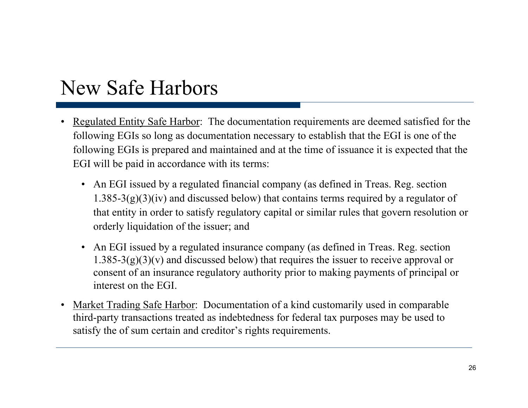#### New Safe Harbors

- •Regulated Entity Safe Harbor: The documentation requirements are deemed satisfied for the following EGIs so long as documentation necessary to establish that the EGI is one of the following EGIs is prepared and maintained and at the time of issuance it is expected that the EGI will be paid in accordance with its terms:
	- An EGI issued by a regulated financial company (as defined in Treas. Reg. section  $1.385-3(g)(3)(iv)$  and discussed below) that contains terms required by a regulator of that entity in order to satisfy regulatory capital or similar rules that govern resolution or orderly liquidation of the issuer; and
	- An EGI issued by a regulated insurance company (as defined in Treas. Reg. section  $1.385-3(g)(3)(v)$  and discussed below) that requires the issuer to receive approval or consent of an insurance regulatory authority prior to making payments of principal or interest on the EGI.
- • Market Trading Safe Harbor: Documentation of a kind customarily used in comparable third-party transactions treated as indebtedness for federal tax purposes may be used to satisfy the of sum certain and creditor's rights requirements.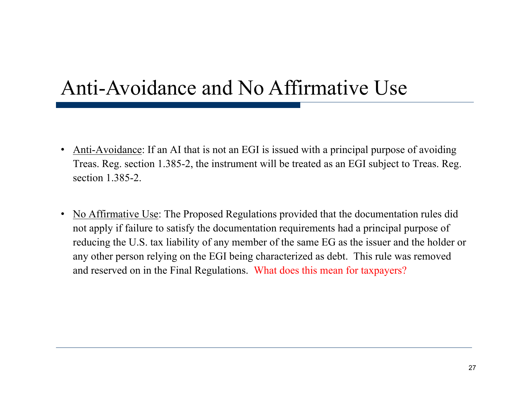### Anti-Avoidance and No Affirmative Use

- $\bullet$  Anti-Avoidance: If an AI that is not an EGI is issued with a principal purpose of avoiding Treas. Reg. section 1.385-2, the instrument will be treated as an EGI subject to Treas. Reg. section 1.385-2.
- $\bullet$  No Affirmative Use: The Proposed Regulations provided that the documentation rules did not apply if failure to satisfy the documentation requirements had a principal purpose of reducing the U.S. tax liability of any member of the same EG as the issuer and the holder or any other person relying on the EGI being characterized as debt. This rule was removed and reserved on in the Final Regulations. What does this mean for taxpayers?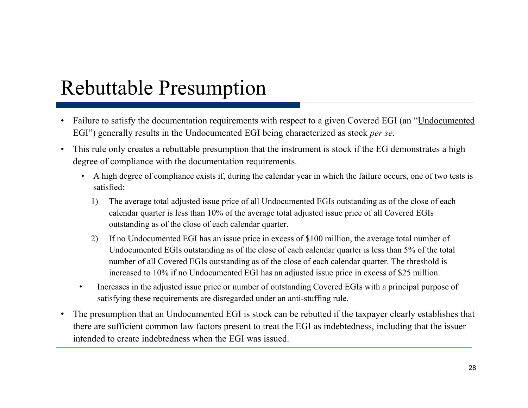#### Rebuttable Presumption

- Failure to satisfy the documentation requirements with respect to a given Covered EGI (an "Undocumented EGI") generally results in the Undocumented EGI being characterized as stock *per se*.
- • This rule only creates a rebuttable presumption that the instrument is stock if the EG demonstrates a high degree of compliance with the documentation requirements.
	- A high degree of compliance exists if, during the calendar year in which the failure occurs, one of two tests is satisfied:
		- 1) The average total adjusted issue price of all Undocumented EGIs outstanding as of the close of each calendar quarter is less than 10% of the average total adjusted issue price of all Covered EGIs outstanding as of the close of each calendar quarter.
		- 2) If no Undocumented EGI has an issue price in excess of \$100 million, the average total number of Undocumented EGIs outstanding as of the close of each calendar quarter is less than 5% of the total number of all Covered EGIs outstanding as of the close of each calendar quarter. The threshold is increased to 10% if no Undocumented EGI has an adjusted issue price in excess of \$25 million.
	- • Increases in the adjusted issue price or number of outstanding Covered EGIs with a principal purpose of satisfying these requirements are disregarded under an anti-stuffing rule.
- • The presumption that an Undocumented EGI is stock can be rebutted if the taxpayer clearly establishes that there are sufficient common law factors present to treat the EGI as indebtedness, including that the issuer intended to create indebtedness when the EGI was issued.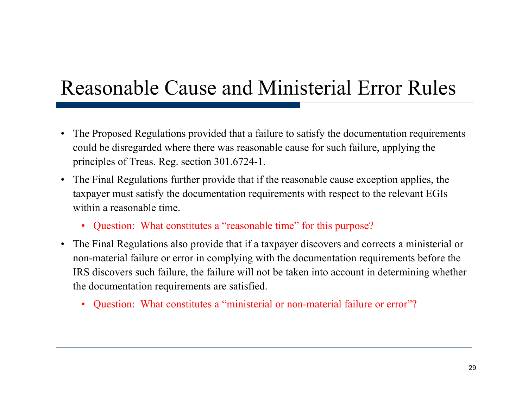### Reasonable Cause and Ministerial Error Rules

- • The Proposed Regulations provided that a failure to satisfy the documentation requirements could be disregarded where there was reasonable cause for such failure, applying the principles of Treas. Reg. section 301.6724-1.
- The Final Regulations further provide that if the reasonable cause exception applies, the taxpayer must satisfy the documentation requirements with respect to the relevant EGIs within a reasonable time.
	- Question: What constitutes a "reasonable time" for this purpose?
- The Final Regulations also provide that if a taxpayer discovers and corrects a ministerial or non-material failure or error in complying with the documentation requirements before the IRS discovers such failure, the failure will not be taken into account in determining whether the documentation requirements are satisfied.
	- Question: What constitutes a "ministerial or non-material failure or error"?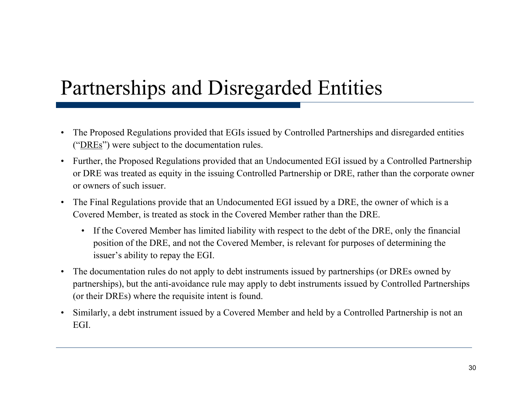### Partnerships and Disregarded Entities

- • The Proposed Regulations provided that EGIs issued by Controlled Partnerships and disregarded entities ("DREs") were subject to the documentation rules.
- $\bullet$  Further, the Proposed Regulations provided that an Undocumented EGI issued by a Controlled Partnership or DRE was treated as equity in the issuing Controlled Partnership or DRE, rather than the corporate owner or owners of such issuer.
- The Final Regulations provide that an Undocumented EGI issued by a DRE, the owner of which is a Covered Member, is treated as stock in the Covered Member rather than the DRE.
	- If the Covered Member has limited liability with respect to the debt of the DRE, only the financial position of the DRE, and not the Covered Member, is relevant for purposes of determining the issuer's ability to repay the EGI.
- The documentation rules do not apply to debt instruments issued by partnerships (or DREs owned by partnerships), but the anti-avoidance rule may apply to debt instruments issued by Controlled Partnerships (or their DREs) where the requisite intent is found.
- $\bullet$  Similarly, a debt instrument issued by a Covered Member and held by a Controlled Partnership is not an EGI.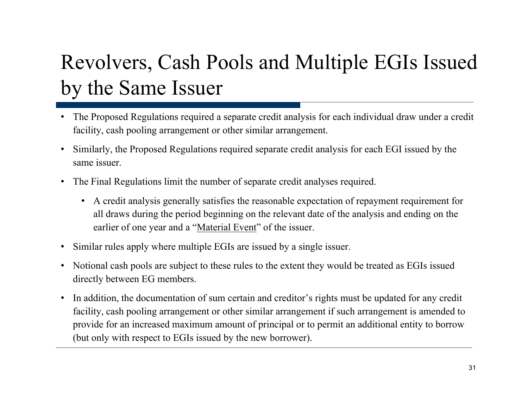# Revolvers, Cash Pools and Multiple EGIs Issued by the Same Issuer

- • The Proposed Regulations required a separate credit analysis for each individual draw under a credit facility, cash pooling arrangement or other similar arrangement.
- • Similarly, the Proposed Regulations required separate credit analysis for each EGI issued by the same issuer.
- $\bullet$ • The Final Regulations limit the number of separate credit analyses required.
	- A credit analysis generally satisfies the reasonable expectation of repayment requirement for all draws during the period beginning on the relevant date of the analysis and ending on the earlier of one year and a "<u>Material Event</u>" of the issuer.
- •Similar rules apply where multiple EGIs are issued by a single issuer.
- • Notional cash pools are subject to these rules to the extent they would be treated as EGIs issued directly between EG members.
- • In addition, the documentation of sum certain and creditor's rights must be updated for any credit facility, cash pooling arrangement or other similar arrangement if such arrangement is amended to provide for an increased maximum amount of principal or to permit an additional entity to borrow (but only with respect to EGIs issued by the new borrower).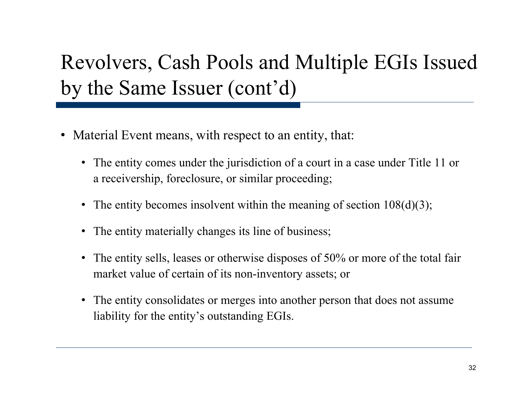# Revolvers, Cash Pools and Multiple EGIs Issued by the Same Issuer (cont'd)

- Material Event means, with respect to an entity, that:
	- The entity comes under the jurisdiction of a court in a case under Title 11 or a receivership, foreclosure, or similar proceeding;
	- The entity becomes insolvent within the meaning of section 108(d)(3);
	- The entity materially changes its line of business;
	- $\bullet$  The entity sells, leases or otherwise disposes of 50% or more of the total fair market value of certain of its non-inventory assets; or
	- The entity consolidates or merges into another person that does not assume liability for the entity's outstanding EGIs.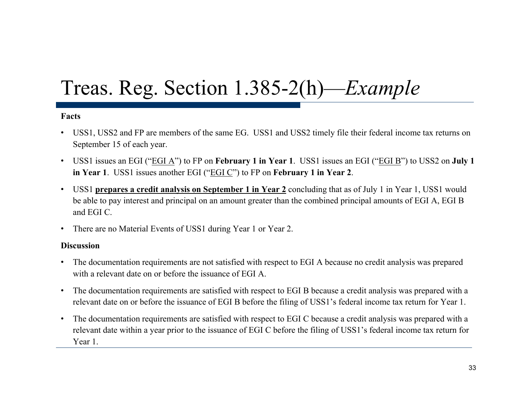# Treas. Reg. Section 1.385-2(h)—*Example*

#### **Facts**

- USS1, USS2 and FP are members of the same EG. USS1 and USS2 timely file their federal income tax returns on September 15 of each year.
- USS1 issues an EGI ("EGI A") to FP on **February 1 in Year 1**. USS1 issues an EGI ("EGI B") to USS2 on **July 1 in Year 1**. USS1 issues another EGI ("EGI C") to FP on **February 1 in Year 2**.
- • USS1 **prepares a credit analysis on September 1 in Year 2** concluding that as of July 1 in Year 1, USS1 would be able to pay interest and principal on an amount greater than the combined principal amounts of EGI A, EGI B and EGI C.
- •There are no Material Events of USS1 during Year 1 or Year 2.

#### **Discussion**

- The documentation requirements are not satisfied with respect to EGI A because no credit analysis was prepared with a relevant date on or before the issuance of EGI A.
- The documentation requirements are satisfied with respect to EGI B because a credit analysis was prepared with a relevant date on or before the issuance of EGI B before the filing of USS1's federal income tax return for Year 1.
- • The documentation requirements are satisfied with respect to EGI C because a credit analysis was prepared with a relevant date within a year prior to the issuance of EGI C before the filing of USS1's federal income tax return for Year 1.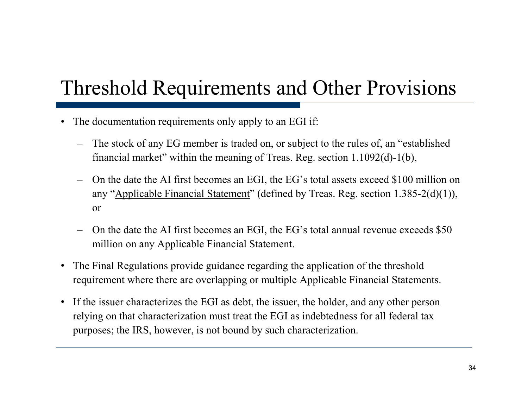### Threshold Requirements and Other Provisions

- •The documentation requirements only apply to an EGI if:
	- The stock of any EG member is traded on, or subject to the rules of, an "established financial market" within the meaning of Treas. Reg. section 1.1092(d)-1(b),
	- On the date the AI first becomes an EGI, the  $EG$ 's total assets exceed \$100 million on any "Applicable Financial Statement" (defined by Treas. Reg. section 1.385-2(d)(1)), or
	- On the date the AI first becomes an EGI, the EG's total annual revenue exceeds  $$50$ million on any Applicable Financial Statement.
- The Final Regulations provide guidance regarding the application of the threshold requirement where there are overlapping or multiple Applicable Financial Statements.
- If the issuer characterizes the EGI as debt, the issuer, the holder, and any other person relying on that characterization must treat the EGI as indebtedness for all federal tax purposes; the IRS, however, is not bound by such characterization.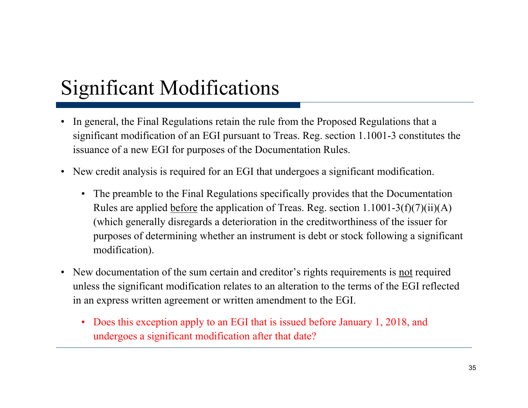### Significant Modifications

- $\bullet$ In general, the Final Regulations retain the rule from the Proposed Regulations that a significant modification of an EGI pursuant to Treas. Reg. section 1.1001-3 constitutes the issuance of a new EGI for purposes of the Documentation Rules.
- New credit analysis is required for an EGI that undergoes a significant modification.
	- The preamble to the Final Regulations specifically provides that the Documentation Rules are applied before the application of Treas. Reg. section  $1.1001-3(f)(7)(ii)(A)$ (which generally disregards a deterioration in the creditworthiness of the issuer for purposes of determining whether an instrument is debt or stock following a significant modification).
- New documentation of the sum certain and creditor's rights requirements is <u>not</u> required unless the significant modification relates to an alteration to the terms of the EGI reflected in an express written agreement or written amendment to the EGI.
	- • Does this exception apply to an EGI that is issued before January 1, 2018, and undergoes a significant modification after that date?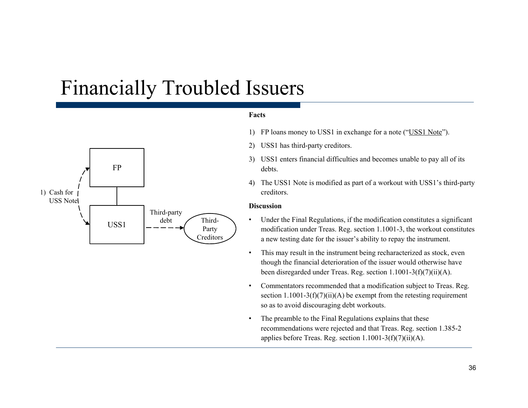#### Financially Troubled Issuers



#### **Facts**

- 1) FP loans money to USS1 in exchange for a note ("USS1 Note").
- 2) USS1 has third-party creditors.
- 3) USS1 enters financial difficulties and becomes unable to pay all of its
- 4) The USS1 Note is modified as part of a workout with USS1's third-party creditors.

#### **Discussion**

- • Under the Final Regulations, if the modification constitutes a significant USS1  $\begin{vmatrix} - & - & - \\ - & - & - \end{vmatrix}$  Party modification under Treas. Reg. section 1.1001-3, the workout constitutes a new testing date for the issuer's ability to repay the instrument.
	- • This may result in the instrument being recharacterized as stock, even though the financial deterioration of the issuer would otherwise have been disregarded under Treas. Reg. section 1.1001-3(f)(7)(ii)(A).
	- • Commentators recommended that a modification subject to Treas. Reg. section  $1.1001-3(f)(7)(ii)(A)$  be exempt from the retesting requirement so as to avoid discouraging debt workouts.
	- • The preamble to the Final Regulations explains that these recommendations were rejected and that Treas. Reg. section 1.385-2 applies before Treas. Reg. section  $1.1001-3(f)(7)(ii)(A)$ .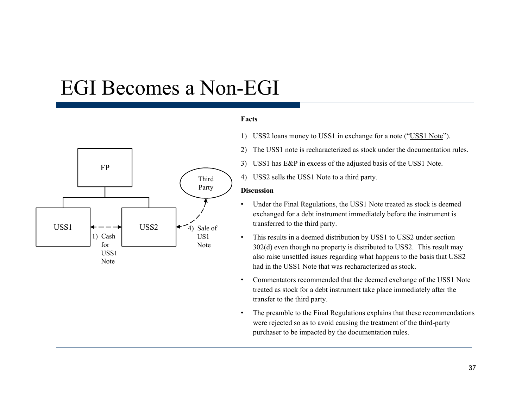# EGI Becomes a Non-EGI



### **Facts**

- 1) USS2 loans money to USS1 in exchange for a note ("USS1 Note").
- 2) The USS1 note is recharacterized as stock under the documentation rules.
- 3) USS1 has E&P in excess of the adjusted basis of the USS1 Note.
- $_{\rm d}$  (4) USS2 sells the USS1 Note to a third party.

### **Discussion**

- • Under the Final Regulations, the USS1 Note treated as stock is deemed exchanged for a debt instrument immediately before the instrument is
- • This results in a deemed distribution by USS1 to USS2 under section 302(d) even though no property is distributed to USS2. This result may also raise unsettled issues regarding what happens to the basis that USS2 had in the USS1 Note that was recharacterized as stock.
- • Commentators recommended that the deemed exchange of the USS1 Note treated as stock for a debt instrument take place immediately after the transfer to the third party.
- • The preamble to the Final Regulations explains that these recommendations were rejected so as to avoid causing the treatment of the third-party purchaser to be impacted by the documentation rules.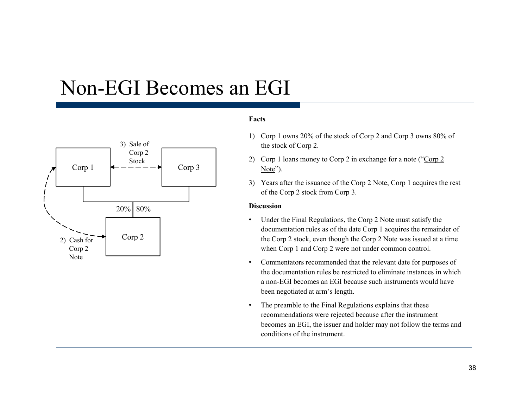## Non-EGI Becomes an EGI



### **Facts**

- 1) Corp 1 owns 20% of the stock of Corp 2 and Corp 3 owns 80% of the stock of Corp 2.
- 2) Corp 1 loans money to Corp 2 in exchange for a note ("Corp 2"
- 3) Years after the issuance of the Corp 2 Note, Corp 1 acquires the rest of the Corp 2 stock from Corp 3.

### **Discussion**

- • Under the Final Regulations, the Corp 2 Note must satisfy the documentation rules as of the date Corp 1 acquires the remainder of the Corp 2 stock, even though the Corp 2 Note was issued at a time when Corp 1 and Corp 2 were not under common control.
- • Commentators recommended that the relevant date for purposes of the documentation rules be restricted to eliminate instances in which a non-EGI becomes an EGI because such instruments would have been negotiated at arm's length.
- • The preamble to the Final Regulations explains that these recommendations were rejected because after the instrument becomes an EGI, the issuer and holder may not follow the terms and conditions of the instrument.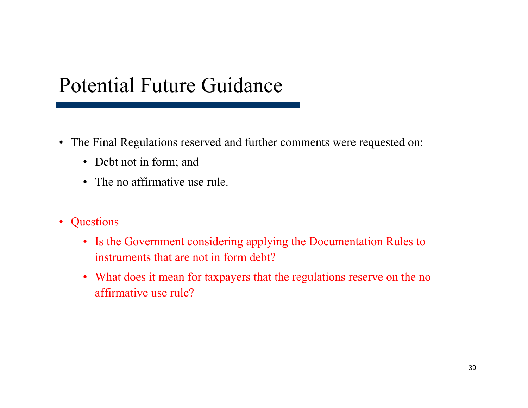## Potential Future Guidance

- The Final Regulations reserved and further comments were requested on:
	- Debt not in form; and
	- The no affirmative use rule.
- $\bullet$ **Questions** 
	- Is the Government considering applying the Documentation Rules to instruments that are not in form debt?
	- What does it mean for taxpayers that the regulations reserve on the no affirmative use rule?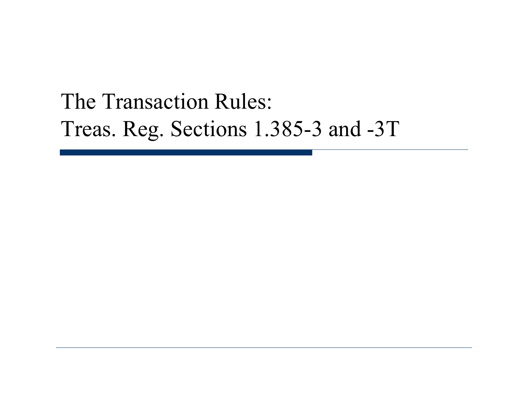# The Transaction Rules: Treas. Reg. Sections 1.385-3 and -3T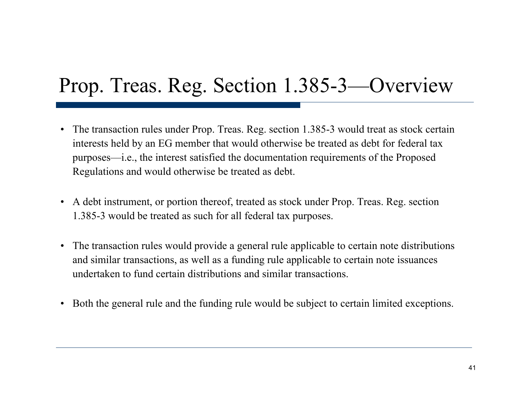## Prop. Treas. Reg. Section 1.385-3—Overview

- The transaction rules under Prop. Treas. Reg. section 1.385-3 would treat as stock certain interests held by an EG member that would otherwise be treated as debt for federal tax purposes—i.e., the interest satisfied the documentation requirements of the Proposed Regulations and would otherwise be treated as debt.
- A debt instrument, or portion thereof, treated as stock under Prop. Treas. Reg. section 1.385-3 would be treated as such for all federal tax purposes.
- The transaction rules would provide a general rule applicable to certain note distributions and similar transactions, as well as a funding rule applicable to certain note issuances undertaken to fund certain distributions and similar transactions.
- Both the general rule and the funding rule would be subject to certain limited exceptions.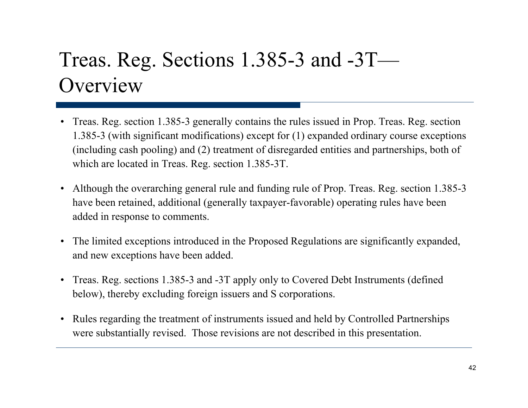# Treas. Reg. Sections 1.385-3 and -3T— **Overview**

- •Treas. Reg. section 1.385-3 generally contains the rules issued in Prop. Treas. Reg. section 1.385-3 (with significant modifications) except for (1) expanded ordinary course exceptions (including cash pooling) and (2) treatment of disregarded entities and partnerships, both of which are located in Treas. Reg. section 1.385-3T.
- Although the overarching general rule and funding rule of Prop. Treas. Reg. section 1.385-3 have been retained, additional (generally taxpayer-favorable) operating rules have been added in response to comments.
- The limited exceptions introduced in the Proposed Regulations are significantly expanded, and new exceptions have been added.
- Treas. Reg. sections 1.385-3 and -3T apply only to Covered Debt Instruments (defined below), thereby excluding foreign issuers and S corporations.
- $\bullet$  Rules regarding the treatment of instruments issued and held by Controlled Partnerships were substantially revised. Those revisions are not described in this presentation.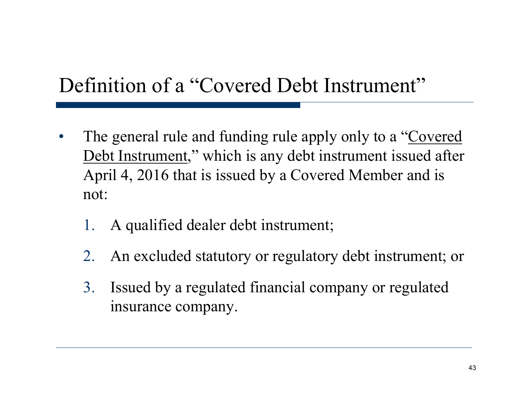# Definition of a "Covered Debt Instrument"

- $\bullet$  The general rule and funding rule apply only to a "Covered Debt Instrument," which is any debt instrument issued after April 4, 2016 that is issued by a Covered Member and is not:
	- 1. A qualified dealer debt instrument;
	- 2. An excluded statutory or regulatory debt instrument; or
	- 3. Issued by a regulated financial company or regulated insurance company.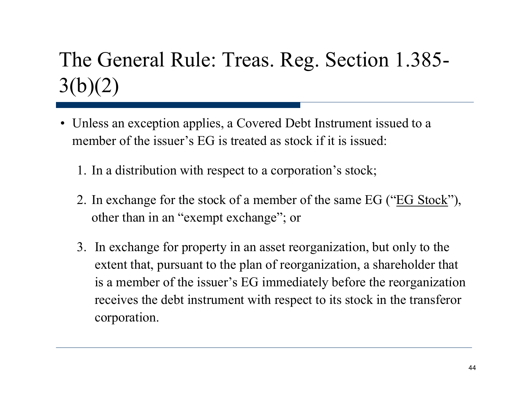# The General Rule: Treas. Reg. Section 1.385-  $3(b)(2)$

- Unless an exception applies, a Covered Debt Instrument issued to a member of the issuer's EG is treated as stock if it is issued:
	- 1. In a distribution with respect to a corporation's stock;
	- 2. In exchange for the stock of a member of the same EG ("EG Stock"), other than in an "exempt exchange"; or
	- 3. In exchange for property in an asset reorganization, but only to the extent that, pursuant to the plan of reorganization, a shareholder that is <sup>a</sup> member of the issuer's EG immediately before the reorganization receives the debt instrument with respect to its stock in the transferor corporation.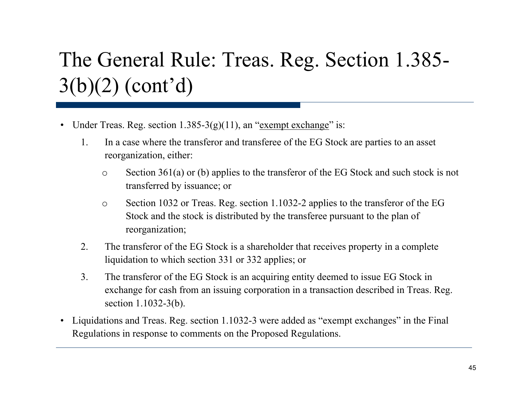# The General Rule: Treas. Reg. Section 1.385- 3(b)(2) (cont'd)

- Under Treas. Reg. section  $1.385-3(g)(11)$ , an "exempt exchange" is:
	- 1. In a case where the transferor and transferee of the EG Stock are parties to an asset reorganization, either:
		- o Section 361(a) or (b) applies to the transferor of the EG Stock and such stock is not transferred by issuance; or
		- o Section 1032 or Treas. Reg. section 1.1032-2 applies to the transferor of the EG Stock and the stock is distributed by the transferee pursuant to the plan of reorganization;
	- 2. The transferor of the EG Stock is a shareholder that receives property in a complete liquidation to which section 331 or 332 applies; or
	- 3. The transferor of the EG Stock is an acquiring entity deemed to issue EG Stock in exchange for cash from an issuing corporation in a transaction described in Treas. Reg. section 1.1032-3(b).
- Liquidations and Treas. Reg. section 1.1032-3 were added as "exempt exchanges" in the Final Regulations in response to comments on the Proposed Regulations.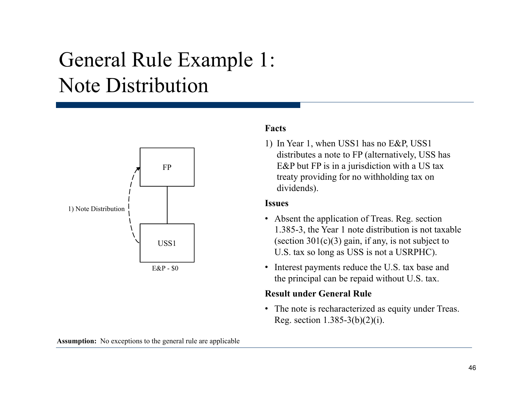# General Rule Example 1: Note Distribution



### **F tFacts**

1) In Year 1, when USS1 has no E&P, USS1 distributes a note to FP (alternatively, USS has E&P but FP is in a jurisdiction with a US tax treaty providing for no withholding tax on dividends).

### **Issues**

- Absent the application of Treas. Reg. section 1 385 3 the Year 1 note distribution is not taxable (section  $301(c)(3)$  gain, if any, is not subject to U.S. tax so long as USS is not a USRPHC).
- Interest payments reduce the U.S. tax base and the principal can be repaid without U.S. tax.

### **Result under General Rule**

• The note is recharacterized as equity under Treas. Reg. section  $1.385-3(b)(2)(i)$ .

**Assumption:** No exceptions to the general rule are applicable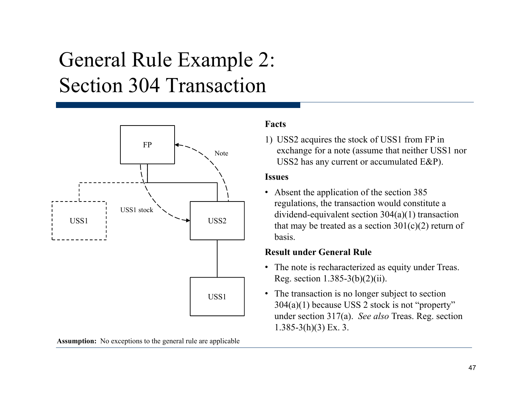# General Rule Example 2: Section 304 Transaction



## **Facts**

1) USS2 acquires the stock of USS1 from FP in exchange for a note (assume that neither USS1 nor USS2 has any current or accumulated E&P).

### **Issues**

• Absent the application of the section 385 regulations, the transaction would constitute a dividend-equivalent section 304(a)(1) transaction USS1  $\downarrow$  USS2 that may be treated as a section  $301(c)(2)$  return of basis.

### **Result under General Rule**

- The note is recharacterized as equity under Treas. Reg. section  $1.385-3(b)(2)(ii)$ .
- The transaction is no longer subject to section 304(a)(1) because USS 2 stock is not "property" under section 317(a). *See also* Treas. Reg. section  $1.385 - 3(h)(3)$  Ex. 3.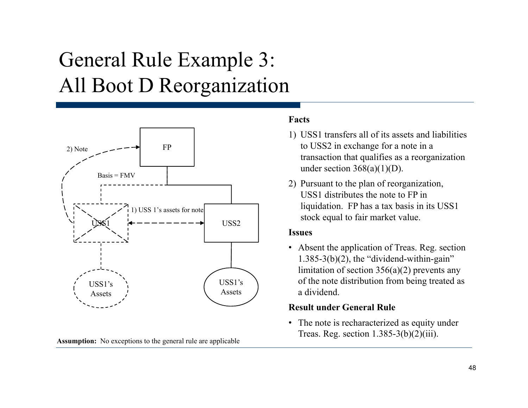# General Rule Example 3: All Boot D Reor ganization



**Assumption:** No exceptions to the general rule are applicable

### **Facts**

- 1) USS1 transfers all of its assets and liabilities to USS2 in exchange for a note in a transaction that qualifies as a reorganization under section  $368(a)(1)(D)$ .
- 2) Pursuant to the plan of reorganization, USS1 distributes the note to FP in liquidation. FP has a tax basis in its USS1 stock equal to fair market value.

### **Issues**

• Absent the application of Treas. Reg. section  $1.385-3(b)(2)$ , the "dividend-within-gain" limitation of section 356(a)(2) prevents any of the note distribution from being treated as a dividend.

## **Result under General Rule**

• The note is recharacterized as equity under Treas. Reg. section  $1.385-3(b)(2)(iii)$ .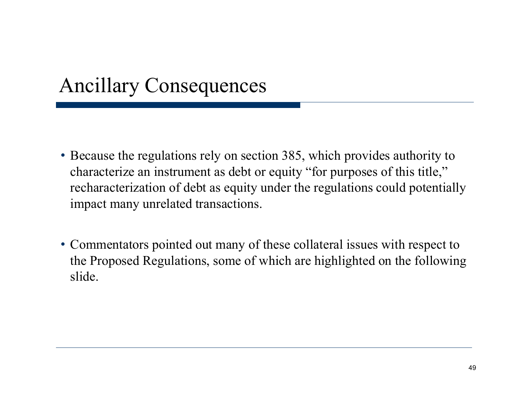## Ancillary Consequences

- Because the regulations rely on section 385, which provides authority to characterize an instrument as debt or equity "for purposes of this title," recharacterization of debt as equity under the regulations could potentially impact many unrelated transactions.
- Commentators pointed out many of these collateral issues with respect to the Proposed Regulations, some of which are highlighted on the following slide.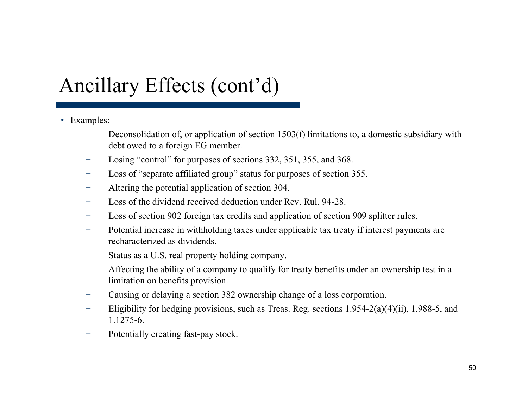# Ancillary Effects (cont'd)

- Examples:
	- Deconsolidation of, or application of section 1503(f) limitations to, a domestic subsidiary with debt owed to a foreign EG member.
	- −Losing "control" for purposes of sections 332, 351, 355, and 368.
	- −Loss of "separate affiliated group" status for purposes of section 355.
	- −Altering the potential application of section 304.
	- −Loss of the dividend received deduction under Rev. Rul. 94-28.
	- −Loss of section 902 foreign tax credits and application of section 909 splitter rules.
	- −Potential increase in withholding taxes under applicable tax treaty if interest payments are recharacterized as dividends.
	- Status as a U.S. real property holding company.
	- − Affecting the ability of a company to qualify for treaty benefits under an ownership test in a limitation on benefits provision.
	- −Causing or delaying a section 382 ownership change of a loss corporation.
	- Eligibility for hedging provisions, such as Treas. Reg. sections 1.954-2(a)(4)(ii), 1.988-5, and 1.1275-6.
	- Potentially creating fast-pay stock.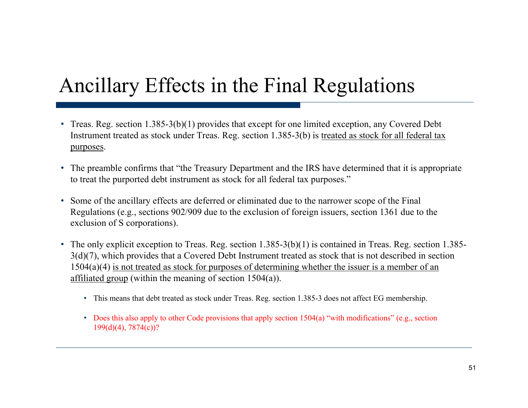# Ancillary Effects in the Final Regulations

- Treas. Reg. section  $1.385-3(b)(1)$  provides that except for one limited exception, any Covered Debt Instrument treated as stock under Treas. Reg. section 1.385-3(b) is treated as stock for all federal tax purposes.
- The preamble confirms that "the Treasury Department and the IRS have determined that it is appropriate to treat the purported debt instrument as stock for all federal tax purposes."
- Some of the ancillary effects are deferred or eliminated due to the narrower scope of the Final Regulations (e.g., sections 902/909 due to the exclusion of foreign issuers, section 1361 due to the exclusion of S corporations).
- The only explicit exception to Treas. Reg. section 1.385-3(b)(1) is contained in Treas. Reg. section 1.385- 3(d)(7), which provides that a Covered Debt Instrument treated as stock that is not described in section 1504(a)(4) is not treated as stock for purposes of determining whether the issuer is a member of an affiliated group (within the meaning of section  $1504(a)$ ).
	- This means that debt treated as stock under Treas. Reg. section 1.385-3 does not affect EG membership.
	- Does this also apply to other Code provisions that apply section 1504(a) "with modifications" (e.g., section 199(d)(4), 7874(c))?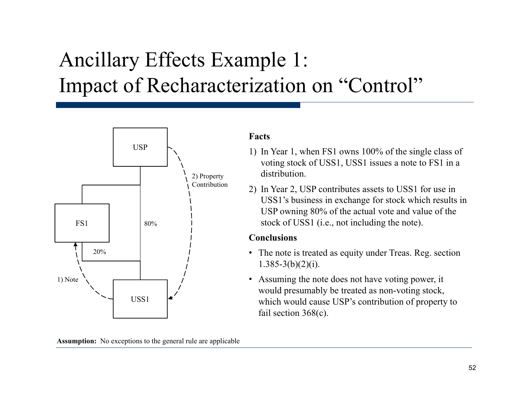# Ancillary Effects Example 1: Impact of Recharacterization on "Control"



**Assumption:** No exceptions to the general rule are applicable

### **Facts**

- 1) In Year 1, when FS1 owns 100% of the single class of voting stock of USS1, USS1 issues a note to FS1 in a distribution.
- 2) In Year 2, USP contributes assets to USS1 for use in USS1's business in exchange for stock which results in USP owning 80% of the actual vote and value of the stock of USS1 (i.e., not including the note).

### **Conclusions**

- The note is treated as equity under Treas. Reg. section  $1.385 - 3(b)(2)(i)$ .
- Assuming the note does not have voting power, it would presumably be treated as non-voting stock, which would cause USP's contribution of property to fail section 368(c).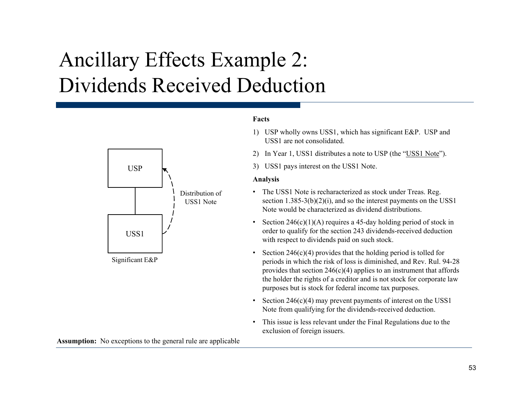# Ancillary Effects Example 2: Dividends Received Deduction

# USPDistribution of USS1 NoteUSS1

Significant E&P

**Assumption:** No exceptions to the general rule are applicable

### **Facts**

- 1) USP wholly owns USS1, which has significant E&P. USP and USS1 are not consolidated.
- 2) In Year 1, USS1 distributes a note to USP (the "USS1 Note").
- 3) USS1 pays interest on the USS1 Note.

### **A li Analysis**

- The USS1 Note is recharacterized as stock under Treas. Reg. section 1.385-3(b)(2)(i), and so the interest payments on the USS1 Note would be characterized as dividend distributions.
- •Section  $246(c)(1)(A)$  requires a 45-day holding period of stock in order to qualify for the section 243 dividends-received deduction with respect to dividends paid on such stock.
- •Section 246(c)(4) provides that the holding period is tolled for periods in which the risk of loss is diminished, and Rev. Rul. 94-28 provides that section  $246(c)(4)$  applies to an instrument that affords the holder the rights of a creditor and is not stock for corporate law purposes but is stock for federal income tax purposes.
- • Section 246(c)(4) may prevent payments of interest on the USS1 Note from qualifying for the dividends-received deduction.
- • This issue is less relevant under the Final Regulations due to the exclusion of foreign issuers.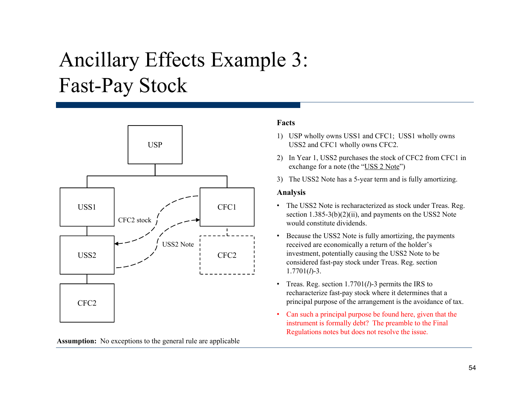# Ancillary Effects Example 3: Fast-Pa y Stock



**Assumption:** No exceptions to the general rule are applicable

### **Facts**

- 1) USP wholly owns USS1 and CFC1; USS1 wholly owns USS2 and CFC1 wholly owns CFC2.
- 2) In Year 1, USS2 purchases the stock of CFC2 from CFC1 in exchange for a note (the "USS 2 Note")
- 3) The USS2 Note has a 5-year term and is fully amortizing.

### **Analysis**

- • The USS2 Note is recharacterized as stock under Treas. Reg. section 1.385-3(b)(2)(ii), and payments on the USS2 Note would constitute dividends.
- • Because the USS2 Note is fully amortizing, the payments received are economically a return of the holder's investment, potentially causing the USS2 Note to be considered fast-pay stock under Treas. Reg. section 1.7701(*l*)-3.
- Treas. Reg. section 1.7701(*l*)-3 permits the IRS to recharacterize fast-pay stock where it determines that a principal purpose of the arrangement is the avoidance of tax.
- • Can such a principal purpose be found here, given that the instrument is formally debt? The preamble to the Final Regulations notes but does not resolve the issue.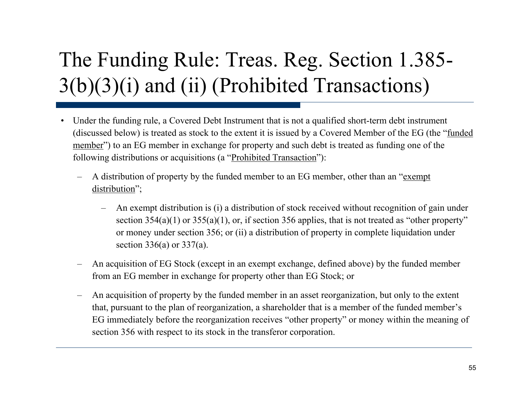# The Funding Rule: Treas. Reg. Section 1.385- 3(b)(3)(i) and (ii) (Prohibited Transactions)

- $\bullet$  Under the funding rule, a Covered Debt Instrument that is not a qualified short-term debt instrument (discussed below) is treated as stock to the extent it is issued by a Covered Member of the EG (the "funded member") to an EG member in exchange for property and such debt is treated as funding one of the following distributions or acquisitions (a "Prohibited Transaction"):
	- A distribution of property by the funded member to an EG member, other than an "exempt" distribution";
		- An exempt distribution is (i) a distribution of stock received without recognition of gain under section  $354(a)(1)$  or  $355(a)(1)$ , or, if section  $356$  applies, that is not treated as "other property" or money under section 356; or (ii) a distribution of property in complete liquidation under section 336(a) or 337(a).
	- An acquisition of EG Stock (except in an exempt exchange, defined above) by the funded member from an EG member in exchange for property other than EG Stock; or
	- An acquisition of property by the funded member in an asset reorganization, but only to the extent that, pursuant to the plan of reorganization, a shareholder that is a member of the funded member's EG immediately before the reorganization receives "other property" or money within the meaning of section 356 with respect to its stock in the transferor corporation.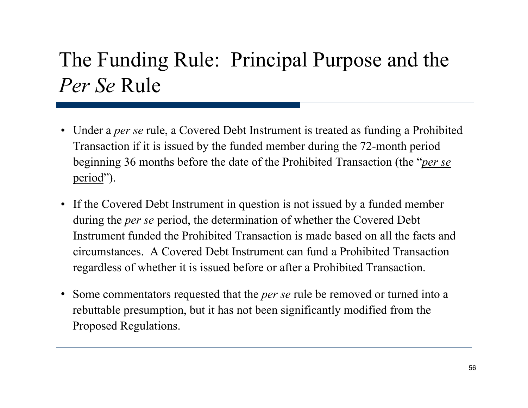# The Funding Rule: Principal Purpose and the *Per Se* Rule

- Under a *per se* rule, a Covered Debt Instrument is treated as funding a Prohibited Transaction if it is issued by the funded member during the 72-month period beginning 36 months before the date of the Prohibited Transaction (the "*per se*  period" ).
- If the Covered Debt Instrument in question is not issued by a funded member during the *per se* period, the determination of whether the Covered Debt Instrument funded the Prohibited Transaction is made based on all the facts and circumstances. A Covered Debt Instrument can fund a Prohibited Transaction regardless of whether it is issued before or after a Prohibited Transaction.
- Some commentators requested that the *per se* rule be removed or turned into a rebuttable presumption, but it has not been significantly modified from the Proposed Regulations.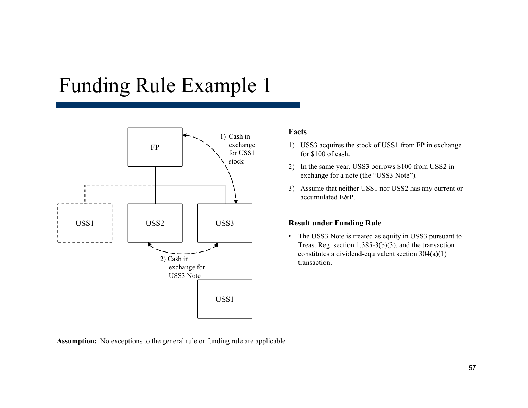## Funding Rule Example 1



### **Facts**

- 1) USS3 acquires the stock of USS1 from FP in exchange for \$100 of cash.
- 2) In the same year, USS3 borrows \$100 from USS2 in exchange for a note (the "<u>USS3 Note</u>").
- 3) Assume that neither USS1 nor USS2 has any current or accumulated E&P.

• The USS3 Note is treated as equity in USS3 pursuant to Treas. Reg. section 1.385-3(b)(3), and the transaction constitutes a dividend-equivalent section 304(a)(1) transaction.

**Assumption:** No exceptions to the general rule or funding rule are applicable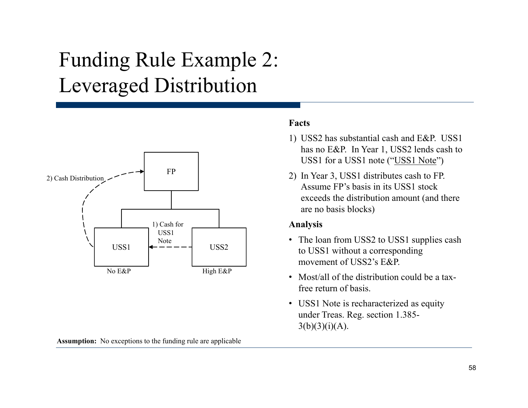# Funding Rule Example 2: Levera ged Distribution



**Facts**

- 1) USS2 has substantial cash and E&P. USS1 has no E&P. In Year 1, USS2 lends cash to USS1 for a USS1 note ("USS1 Note")
- Assume FP's basis in its USS1 stock exceeds the distribution amount (and there are no basis blocks)

### **Anal ysis y**

- The loan from USS2 to USS1 supplies cash to USS1 without a corresponding movement of USS2's E&P.
- Most/all of the distribution could be a taxfree return of basis.
- USS1 Note is recharacterized as equity under Treas. Reg. section 1.385-  $3(b)(3)(i)(A)$ .

**Assumption:** No exceptions to the funding rule are applicable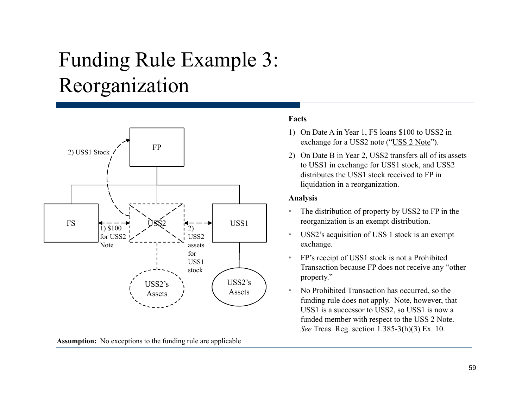# Funding Rule Example 3: Reor ganization



**Assumption:** No exceptions to the funding rule are applicable

### **Facts**

- 1) On Date A in Year 1, FS loans \$100 to USS2 in exchange for a USS2 note ("USS 2 Note").
- 2) On Date B in Year 2, USS2 transfers all of its assets to USS1 in exchange for USS1 stock, and USS2 distributes the USS1 stock received to FP in liquidation in a reorganization.

### **Analysis**

- •The distribution of property by USS2 to FP in the
- • USS2's acquisition of USS 1 stock is an exempt exchange.
- • FP's receipt of USS1 stock is not a Prohibited Transaction because FP does not receive any "other property."
- • No Prohibited Transaction has occurred, so the funding rule does not apply. Note, however, that USS1 is a successor to USS2, so USS1 is now a funded member with respect to the USS 2 Note. *See* Treas. Reg. section 1.385-3(h)(3) Ex. 10.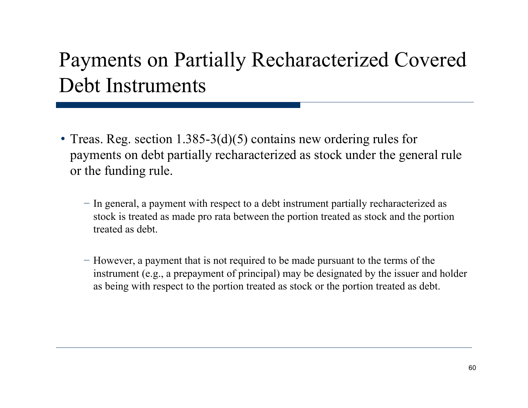# Payments on Partially Recharacterized Covered Debt Instruments

- Treas. Reg. section 1.385-3(d)(5) contains new ordering rules for payments on debt partially recharacterized as stock under the general rule or the funding rule.
	- − In general, a payment with respect to a debt instrument partially recharacterized as stock is treated as made pro rata between the portion treated as stock and the portion treated as debt.
	- − However, a payment that is not required to be made pursuant to the terms of the instrument (e.g., a prepayment of principal) may be designated by the issuer and holder as being with respect to the portion treated as stock or the portion treated as debt.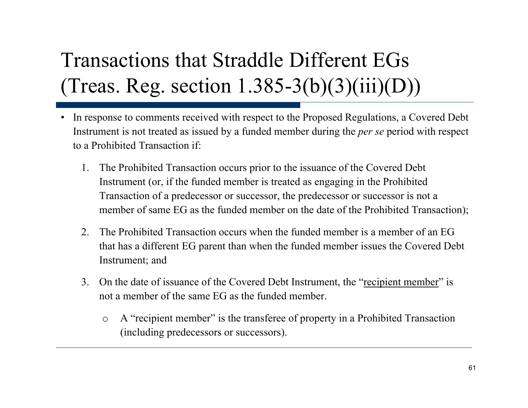# Transactions that Straddle Different EGs (Treas. Re g. section 1.385-3(b)(3)(iii)(D))

- • In response to comments received with respect to the Proposed Regulations, a Covered Debt Instrument is not treated as issued by a funded member during the *per se* period with respect to a Prohibited Transaction if:
	- 1. The Prohibited Transaction occurs prior to the issuance of the Covered Debt Instrument (or, if the funded member is treated as engaging in the Prohibited Transaction of a predecessor or successor, the predecessor or successor is not a member of same EG as the funded member on the date of the Prohibited Transaction);
	- 2.. The Prohibited Transaction occurs when the funded member is a member of an EG that has a different EG parent than when the funded member issues the Covered Debt Instrument; and
	- 3.. On the date of issuance of the Covered Debt Instrument, the "recipient member" is not a member of the same EG as the funded member.
		- o A "recipient member" is the transferee of property in a Prohibited Transaction (including predecessors or successors).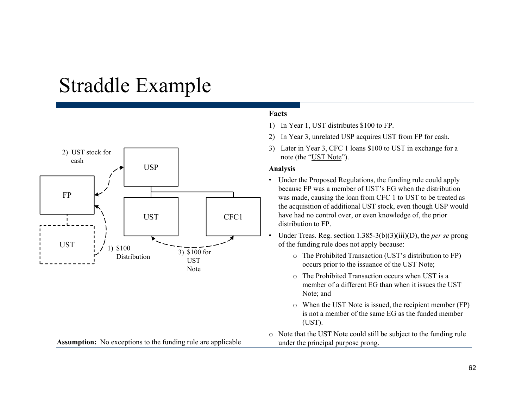## Straddle Example



### **Facts**

- 1) In Year 1, UST distributes \$100 to FP.
- 2) In Year 3, unrelated USP acquires UST from FP for cash.
- 3) Later in Year 3, CFC 1 loans \$100 to UST in exchange for a note (the "UST Note").

### **Analysis**

- Under the Proposed Regulations, the funding rule could apply because FP was a member of UST's EG when the distribution was made, causing the loan from CFC 1 to UST to be treated as the acquisition of additional UST stock, even though USP would have had no control over, or even knowledge of, the prior distribution to FP.
- • Under Treas. Reg. section 1.385-3(b)(3)(iii)(D), the *per se* prong of the funding rule does not apply because:
	- o The Prohibited Transaction (UST's distribution to FP) occurs prior to the issuance of the UST Note;
	- o The Prohibited Transaction occurs when UST is a member of a different EG than when it issues the UST Note; and
	- o When the UST Note is issued, the recipient member (FP) is not a member of the same EG as the funded member (UST).
- $\circ$  Note that the UST Note could still be subject to the funding rule under the principal purpose prong.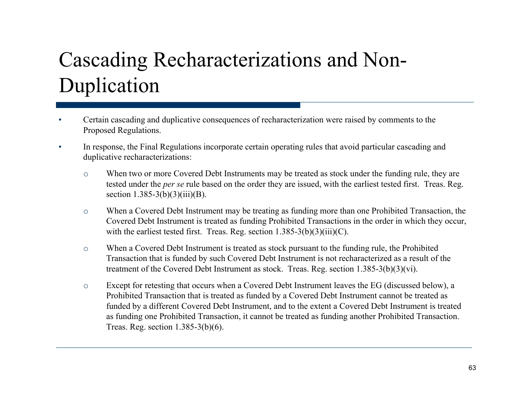# Cascading Recharacterizations and Non-Duplication

- • Certain cascading and duplicative consequences of recharacterization were raised by comments to the Proposed Regulations.
- • In response, the Final Regulations incorporate certain operating rules that avoid particular cascading and duplicative recharacterizations:
	- o $\circ$  When two or more Covered Debt Instruments may be treated as stock under the funding rule, they are tested under the *per se* rule based on the order they are issued, with the earliest tested first. Treas. Reg. section  $1.385-3(b)(3)(iii)(B)$ .
	- o When a Covered Debt Instrument may be treating as funding more than one Prohibited Transaction, the Covered Debt Instrument is treated as funding Prohibited Transactions in the order in which they occur, with the earliest tested first. Treas. Reg. section  $1.385\text{-}3(b)(3)(iii)(C)$ .
	- o When a Covered Debt Instrument is treated as stock pursuant to the funding rule, the Prohibited Transaction that is funded by such Covered Debt Instrument is not recharacterized as a result of the treatment of the Covered Debt Instrument as stock. Treas. Reg. section 1.385-3(b)(3)(vi).
	- o Except for retesting that occurs when a Covered Debt Instrument leaves the EG (discussed below), a Prohibited Transaction that is treated as funded by a Covered Debt Instrument cannot be treated as funded by a different Covered Debt Instrument, and to the extent a Covered Debt Instrument is treated as funding one Prohibited Transaction, it cannot be treated as funding another Prohibited Transaction. Treas. Reg. section 1.385-3(b)(6).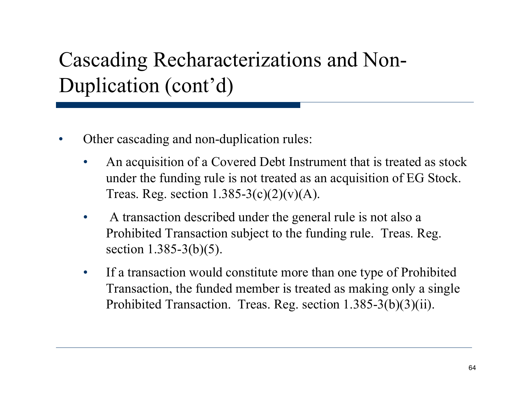# Cascading Recharacterizations and Non-Duplication (cont'd)

- • Other cascading and non-duplication rules:
	- $\bullet$  An acquisition of a Covered Debt Instrument that is treated as stock under the funding rule is not treated as an acquisition of  $EG$  Stock. Treas. Reg. section  $1.385-3(c)(2)(v)(A)$ .
	- $\bullet$  A transaction described under the general rule is not also a Prohibited Transaction subject to the funding rule. Treas. Reg. section 1.385-3(b)(5).
	- • If a transaction would constitute more than one type of Prohibited Transaction, the funded member is treated as making only a single Prohibited Transaction. Treas. Reg. section 1.385-3(b)(3)(ii).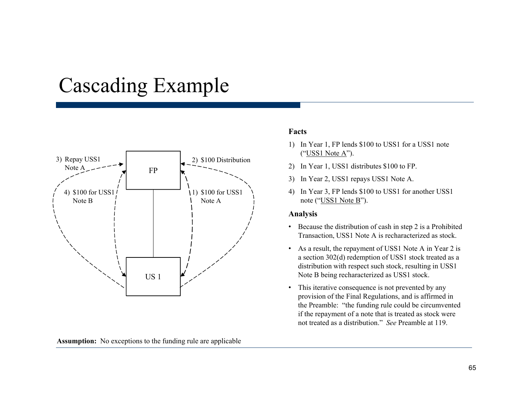## Cascading Example



**Assumption:** No exceptions to the funding rule are applicable

### **Facts**

- 1) In Year 1, FP lends \$100 to USS1 for a USS1 note ("USS1 Note A").
- 2) In Year 1, USS1 distributes \$100 to FP.
- 3) In Year 2, USS1 repays USS1 Note A.
- 4) In Year 3, FP lends \$100 to USS1 for another USS1 note ("USS1 Note B").

### **Analysis**

- Because the distribution of cash in step 2 is a Prohibited Transaction, USS1 Note A is recharacterized as stock.
- As a result, the repayment of USS1 Note A in Year 2 is a section 302(d) redemption of USS1 stock treated as a distribution with respect such stock, resulting in USS1 Note B being recharacterized as USS1 stock.
- This iterative consequence is not prevented by any provision of the Final Regulations, and is affirmed in the Preamble: "the funding rule could be circumvented if the repayment of a note that is treated as stock were not treated as a distribution." *See* Preamble at 119.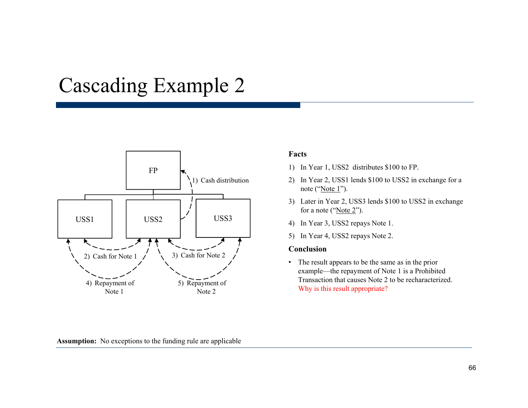## Cascading Example 2



### **Assumption:** No exceptions to the funding rule are applicable

### **Facts**

- 1) In Year 1, USS2 distributes \$100 to FP.
- 1) Cash distribution 2) In Year 2, USS1 lends \$100 to USS2 in exchange for a note ("Note 1").
	- 3) Later in Year 2, USS3 lends \$100 to USS2 in exchange for a note ("Note 2").
	-
	- 5) In Year 4, USS2 repays Note 2.

### **Conclusion**

• The result appears to be the same as in the prior example—the repayment of Note 1 is a Prohibited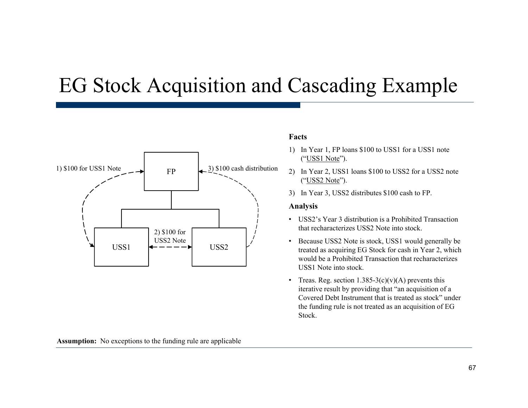## EG Stock Acquisition and Cascadin g Example



### **Facts**

- 1) In Year 1, FP loans \$100 to USS1 for a USS1 note ("USS1 Note").
- 2) In Year 2, USS1 loans \$100 to USS2 for a USS2 note ("<u>USS2 Note</u>").
- 3) In Year 3, USS2 distributes \$100 cash to FP.

### **Analysis**

- USS2's Year 3 distribution is a Prohibited Transaction that recharacterizes USS2 Note into stock.
- Because USS2 Note is stock, USS1 would generally be treated as acquiring EG Stock for cash in Year 2, which would be a Prohibited Transaction that recharacterizes USS1 Note into stock.
- Treas. Reg. section  $1.385-3(c)(v)(A)$  prevents this iterative result by providing that "an acquisition of a Covered Debt Instrument that is treated as stock" under the funding rule is not treated as an acquisition of EG Stock.

**Assumption:** No exceptions to the funding rule are applicable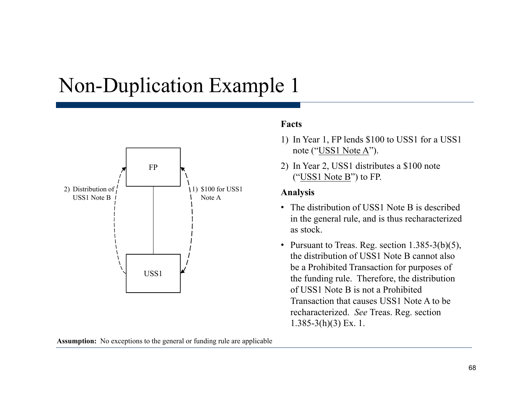## Non-Duplication Example 1



### **Assumption:** No exceptions to the general or funding rule are applicable

### **Facts**

- 1) In Year 1, FP lends \$100 to USS1 for a USS1 note ("USS1 Note A").
- 2) In Year 2, USS1 distributes a \$100 note ("<u>USS1 Note B</u>") to FP.

### **Analysis**

- The distribution of USS1 Note B is described in the general rule, and is thus recharacterized as stock.
- Pursuant to Treas. Reg. section  $1.385-3(b)(5)$ , the distribution of USS1 Note B cannot also be a Prohibited Transaction for purposes of USS1  $\mu$  the funding rule. Therefore, the distribution of USS1 Note B is not a Prohibited Transaction that causes USS1 Note A to be recharacterized. *See* Treas. Reg. section  $1.385-3(h)(3)$  Ex. 1.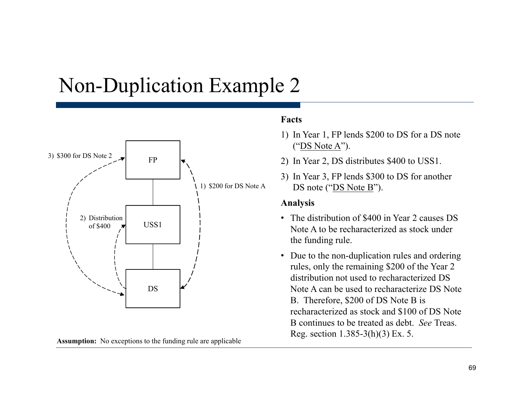## Non-Duplication Example 2



**Assumption:** No exceptions to the funding rule are applicable

### **Facts**

- 1) In Year 1, FP lends \$200 to DS for a DS note ("DS Note A").
- 2) In Year 2, DS distributes \$400 to USS1.
- 3) In Year 3, FP lends  $$300$  to DS for another DS note ("DS Note B").

### **Analysis**

- The distribution of \$400 in Year 2 causes DS USS1  $\begin{array}{ccc} \hline \end{array}$   $\begin{array}{ccc} \hline \end{array}$  Note A to be recharacterized as stock under the funding rule.
	- Due to the non-duplication rules and ordering rules, only the remaining \$200 of the Year 2 distribution not used to recharacterized DS Note A can be used to recharacterize DS Note B. Therefore, \$200 of DS Note B is recharacterized as stock and \$100 of DS Note B continues to be treated as debt. *See* Treas. Reg. section  $1.385-3(h)(3)$  Ex. 5.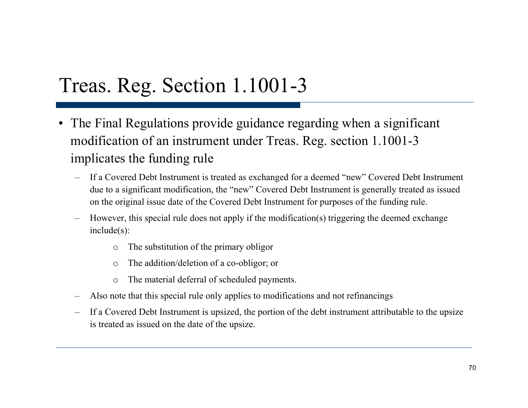## Treas. Reg. Section 1.1001-3

- The Final Regulations provide guidance regarding when <sup>a</sup> significant modification of an instrument under Treas. Reg. section 1.1001-3 implicates the funding rule
	- If a Covered Debt Instrument is treated as exchanged for a deemed "new" Covered Debt Instrument due to a significant modification, the "new" Covered Debt Instrument is generally treated as issued on the original issue date of the Covered Debt Instrument for purposes of the funding rule.
	- However, this special rule does not apply if the modification(s) triggering the deemed exchange include(s):
		- oThe substitution of the primary obligor
		- oThe addition/deletion of a co-obligor; or
		- oThe material deferral of scheduled payments.
	- Also note that this special rule only applies to modifications and not refinancings
	- If a Covered Debt Instrument is upsized, the portion of the debt instrument attributable to the upsize is treated as issued on the date of the upsize.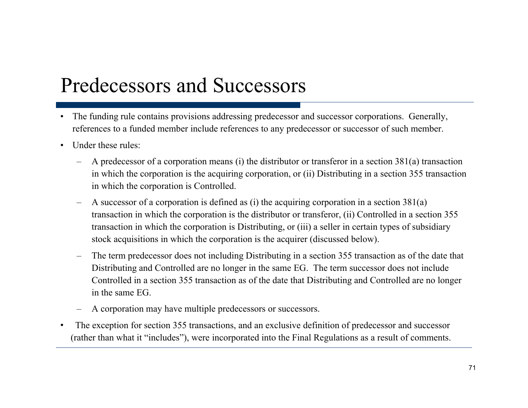# Predecessors and Successors

- $\bullet$  The funding rule contains provisions addressing predecessor and successor corporations. Generally, references to a funded member include references to any predecessor or successor of such member.
- • Under these rules:
	- A predecessor of a corporation means (i) the distributor or transferor in a section 381(a) transaction in which the corporation is the acquiring corporation, or (ii) Distributing in a section 355 transaction in which the corporation is Controlled.
	- A successor of a corporation is defined as (i) the acquiring corporation in a section 381(a) transaction in which the corporation is the distributor or transferor, (ii) Controlled in a section 355 transaction in which the corporation is Distributing, or (iii) <sup>a</sup> seller in certain types of subsidiary stock acquisitions in which the corporation is the acquirer (discussed below).
	- The term predecessor does not including Distributing in a section 355 transaction as of the date that Distributing and Controlled are no longer in the same EG. The term successor does not include Controlled in a section 355 transaction as of the date that Distributing and Controlled are no longer in the same EG.
	- A corporation may have multiple predecessors or successors.
- • The exception for section 355 transactions, and an exclusive definition of predecessor and successor (rather than what it "includes"), were incorporated into the Final Regulations as a result of comments.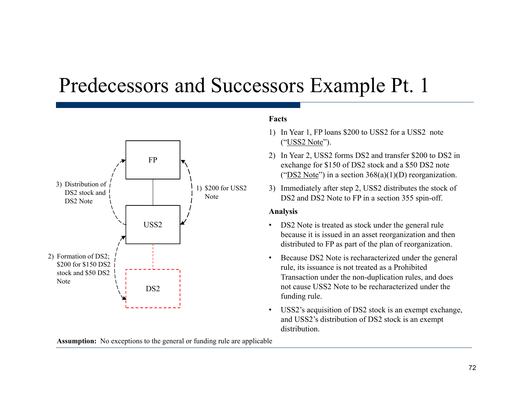## Predecessors and Successors Example Pt. 1



### **Facts**

- 1) In Year 1, FP loans \$200 to USS2 for a USS2 note ("USS2 Note").
- 2) In Year 2, USS2 forms DS2 and transfer \$200 to DS2 in exchange for \$150 of DS2 stock and a \$50 DS2 note (" $\overline{DS2 Note}$ ") in a section 368(a)(1)(D) reorganization.
- 3) Immediately after step 2, USS2 distributes the stock of DS2 and DS2 Note to FP in a section 355 spin-off.

### **Analysis**

- DS2 Note is treated as stock under the general rule because it is issued in an asset reorganization and then distributed to FP as part of the plan of reorganization.
- • Because DS2 Note is recharacterized under the general rule, its issuance is not treated as a Prohibited Transaction under the non-duplication rules, and does funding rule.
- • USS2's acquisition of DS2 stock is an exempt exchange, and USS2's distribution of DS2 stock is an exempt distribution.

**Assumption:** No exceptions to the general or funding rule are applicable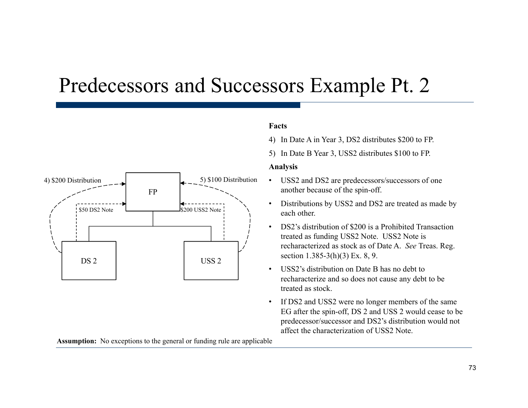### Predecessors and Successors Example Pt. 2



#### **Facts**

- 4) In Date A in Year 3, DS2 distributes \$200 to FP.
- 5) In Date B Year 3, USS2 distributes \$100 to FP.

#### **Analysis**

- another because of the spin-off.
- • Distributions by USS2 and DS2 are treated as made by each other.
- •• DS2's distribution of \$200 is a Prohibited Transaction treated as funding USS2 Note. USS2 Note is recharacterized as stock as of Date A. *See* Treas. Reg. section 1.385-3(h)(3) Ex. 8, 9.
- • USS2's distribution on Date B has no debt to recharacterize and so does not cause any debt to be<br>treated as stock.
- • If DS2 and USS2 were no longer members of the same EG after the spin-off, DS 2 and USS 2 would cease to be predecessor/successor and DS2's distribution would not affect the characterization of USS2 Note.

**Assumption:** No exceptions to the general or funding rule are applicable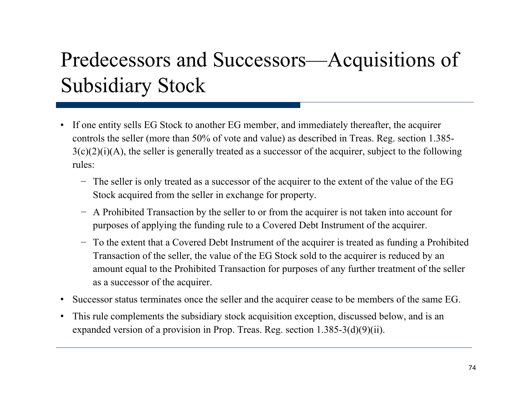# Predecessors and Successors—Acquisitions of Subsidiary Stock

- If one entity sells EG Stock to another EG member, and immediately thereafter, the acquirer controls the seller (more than 50% of vote and value) as described in Treas. Reg. section 1.385- $3(c)(2)(i)(A)$ , the seller is generally treated as a successor of the acquirer, subject to the following rules:
	- − The seller is only treated as a successor of the acquirer to the extent of the value of the EG Stock acquired from the seller in exchange for property.
	- − A Prohibited Transaction by the seller to or from the acquirer is not taken into account for purposes of applying the funding rule to a Covered Debt Instrument of the acquirer.
	- − To the extent that a Covered Debt Instrument of the acquirer is treated as funding a Prohibited Transaction of the seller, the value of the EG Stock sold to the acquirer is reduced by an amount equal to the Prohibited Transaction for purposes of any further treatment of the seller as a successor of the acquirer.
- Successor status terminates once the seller and the acquirer cease to be members of the same EG.
- • This rule complements the subsidiary stock acquisition exception, discussed below, and is an expanded version of a provision in Prop. Treas. Reg. section  $1.385\text{-}3(d)(9)(ii)$ .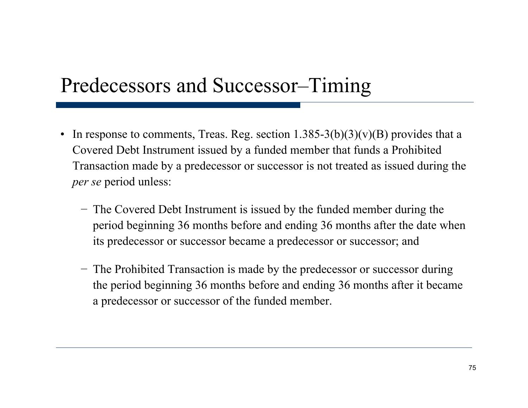### Predecessors and Successor–Timin g

- In response to comments, Treas. Reg. section  $1.385-3(b)(3)(v)(B)$  provides that a Covered Debt Instrument issued by a funded member that funds a Prohibited Transaction made by a predecessor or successor is not treated as issued during the *per se* period unless:
	- − The Covered Debt Instrument is issued by the funded member during the period beginning 36 months before and ending 36 months after the date when its predecessor or successor became a predecessor or successor; and
	- − The Prohibited Transaction is made by the predecessor or successor during the period beginning 36 months before and ending 36 months after it became a predecessor or successor of the funded member.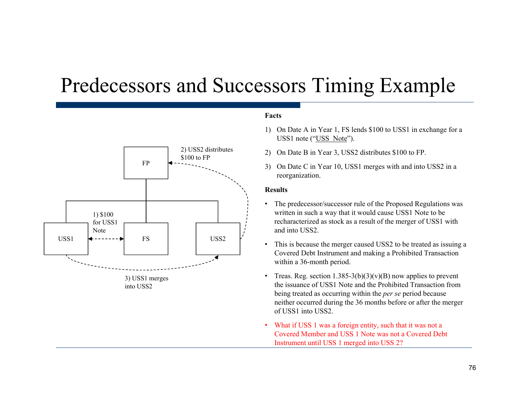### Predecessors and Successors Timin g Example



3) USS1 mer ges ) g into USS2

#### **Facts**

- 1) On Date A in Year 1, FS lends \$100 to USS1 in exchange for a USS1 note ("USS Note").
- 2) On Date B in Year 3, USS2 distributes \$100 to FP.
- 3) On Date C in Year 10, USS1 merges with and into USS2 in a reor ganization.

#### **Results**

- • The predecessor/successor rule of the Proposed Regulations was written in such a way that it would cause USS1 Note to be recharacterized as stock as a result of the merger of USS1 with
- • This is because the merger caused USS2 to be treated as issuing a Covered Debt Instrument and making a Prohibited Transaction within a 36-month period.
- •Treas. Reg. section  $1.385-3(b)(3)(v)(B)$  now applies to prevent the issuance of USS1 Note and the Prohibited Transaction from being treated as occurring within the *per se* period because neither occurred during the 36 months before or after the merger of USS1 into USS2.
- • What if USS 1 was a foreign entity, such that it was not a Covered Member and USS 1 Note was not a Covered Debt Instrument until USS 1 merged into USS 2?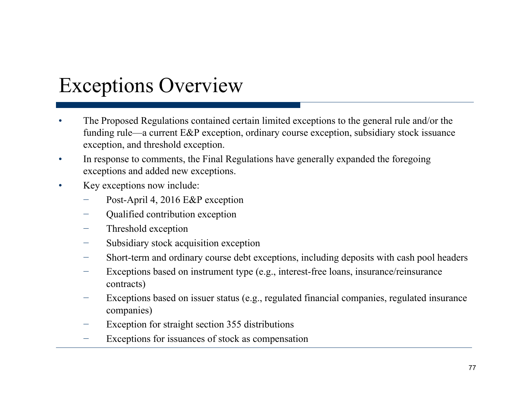### Exceptions Overview

- • The Proposed Regulations contained certain limited exceptions to the general rule and/or the funding rule—a current E&P exception, ordinary course exception, subsidiary stock issuance exception, and threshold exception.
- $\bullet$  In response to comments, the Final Regulations have generally expanded the foregoing exceptions and added new exceptions.
- $\bullet$  Key exceptions now include:
	- Post-April 4, 2016 E&P exception
	- Qualified contribution exception
	- Threshold exception
	- Subsidiary stock acquisition exception
	- Short-term and ordinary course debt exceptions, including deposits with cash pool headers
	- Exceptions based on instrument type (e.g., interest-free loans, insurance/reinsurance contracts)
	- Exceptions based on issuer status (e.g., regulated financial companies, regulated insurance companies)
	- Exception for straight section 355 distributions
	- −Exceptions for issuances of stock as compensation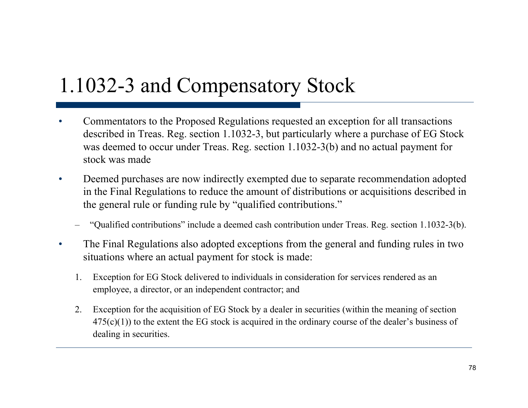### 1.1032-3 and Compensatory Stock

- •• Commentators to the Proposed Regulations requested an exception for all transactions described in Treas. Reg. section 1.1032-3, but particularly where a purchase of EG Stock was deemed to occur under Treas. Reg. section 1.1032-3(b) and no actual payment for stock was made
- $\bullet$  Deemed purchases are now indirectly exempted due to separate recommendation adopted in the Final Regulations to reduce the amount of distributions or acquisitions described in the general rule or funding rule by "qualified contributions."
	- "Qualified contributions" include a deemed cash contribution under Treas. Reg. section 1.1032-3(b).
- $\bullet$  The Final Regulations also adopted exceptions from the general and funding rules in two situations where an actual payment for stock is made:
	- 1. Exce ption for EG Stock delivered to individuals in consideration for services rendered as an employee, a director, or an independent contractor; and
	- 2. Exception for the acquisition of EG Stock by a dealer in securities (within the meaning of section  $475(c)(1)$ ) to the extent the EG stock is acquired in the ordinary course of the dealer's business of dealing in securities.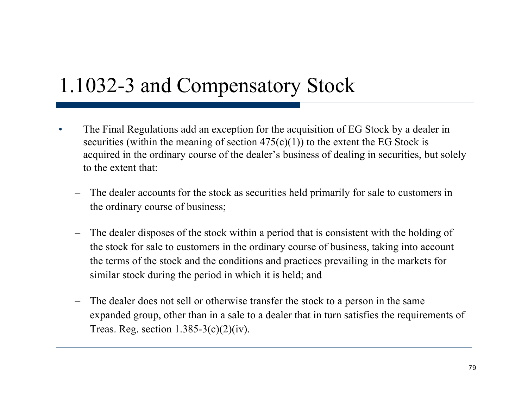### 1.1032-3 and Compensatory Stock

- •• The Final Regulations add an exception for the acquisition of EG Stock by a dealer in securities (within the meaning of section  $475(c)(1)$ ) to the extent the EG Stock is acquired in the ordinary course of the dealer's business of dealing in securities, but solely to the extent that:
	- – The dealer accounts for the stock as securities held primarily for sale to customers in the ordinary course of business;
	- –- The dealer disposes of the stock within a period that is consistent with the holding of the stock for sale to customers in the ordinary course of business, taking into account the terms of the stock and the conditions and practices prevailing in the markets for similar stock during the period in which it is held; and
	- – The dealer does not sell or otherwise transfer the stock to a person in the same expanded group, other than in a sale to a dealer that in turn satisfies the requirements of Treas. Reg. section  $1.385-3(c)(2)(iv)$ .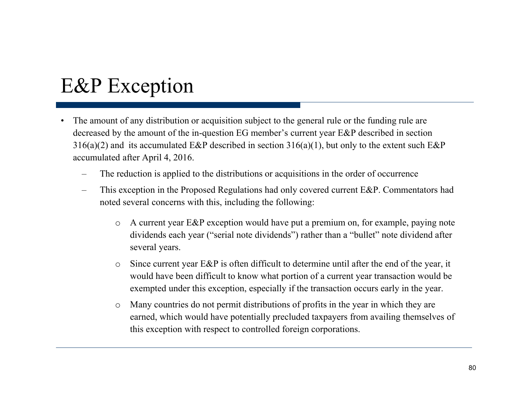### E&P Exception

- • The amount of any distribution or acquisition subject to the general rule or the funding rule are decreased by the amount of the in-question EG member's current year E&P described in section  $316(a)(2)$  and its accumulated E&P described in section  $316(a)(1)$ , but only to the extent such E&P accumulated after April 4, 2016.
	- The reduction is applied to the distributions or acquisitions in the order of occurrence
	- This exception in the Proposed Regulations had only covered current E&P. Commentators had noted several concerns with this, including the following:
		- o A current year E&P exception would have put a premium on, for example, paying note dividends each year ("serial note dividends") rather than a "bullet" note dividend after several years.
		- o Since current year E&P is often difficult to determine until after the end of the year, it would have been difficult to know what portion of a current year transaction would be exempted under this exception, especially if the transaction occurs early in the year.
		- o Many countries do not permit distributions of profits in the year in which they are earned, which would have potentially precluded taxpayers from availing themselves of this exception with respect to controlled foreign corporations.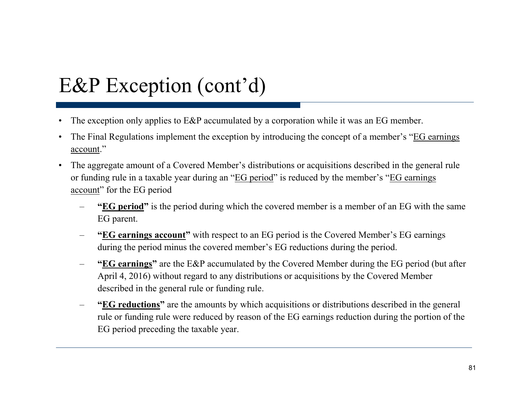- •The exception only applies to E&P accumulated by a corporation while it was an EG member.
- $\bullet$ The Final Regulations implement the exception by introducing the concept of a member's "EG earnings" account."
- • The aggregate amount of a Covered Member's distributions or acquisitions described in the general rule or funding rule in a taxable year during an "EG period" is reduced by the member's "EG earnings account" for the EG period
	- **"EG period**" is the period during which the covered member is a member of an EG with the same EG parent.
	- –- **"EG earnings account"** with respect to an EG period is the Covered Member's EG earnings during the period minus the covered member's EG reductions during the period.
	- – **"EG earnings"** are the E&P accumulated by the Covered Member during the EG period (but after April 4, 2016) without regard to any distributions or acquisitions by the Covered Member described in the general rule or funding rule.
	- – **"EG reductions"** are the amounts by which acquisitions or distributions described in the general rule or funding rule were reduced by reason of the EG earnings reduction during the portion of the EG period preceding the taxable year.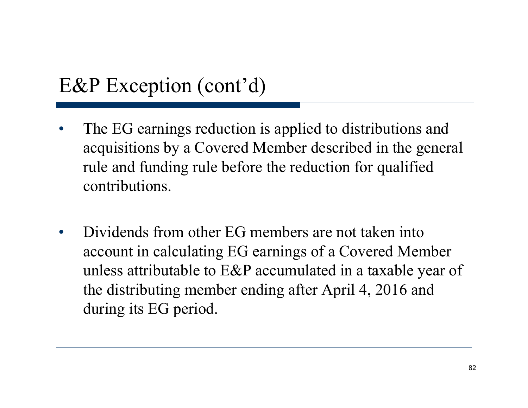- •The EG earnings reduction is applied to distributions and acquisitions by a Covered Member described in the general rule and funding rule before the reduction for qualified contributions.
- •• Dividends from other EG members are not taken into account in calculating EG earnings of a Covered Member unless attributable to E&P accumulated in a taxable year of the distributing member ending after April 4, 2016 and during its EG period.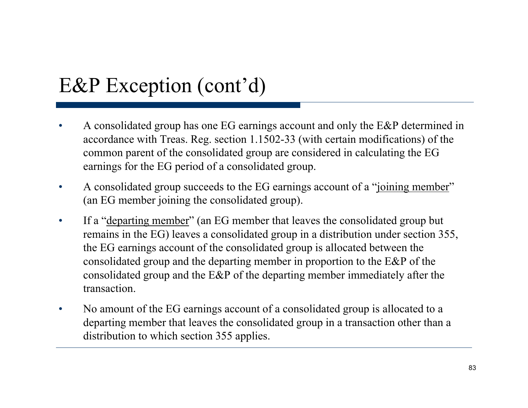- • A consolidated group has one EG earnings account and only the E&P determined in accordance with Treas. Reg. section 1.1502-33 (with certain modifications) of the common parent of the consolidated group are considered in calculating the EG earnings for the EG period of a consolidated group.
- $\bullet$  A consolidated group succeeds to the EG earnings account of a "joining member" (an EG member joining the consolidated group).
- $\bullet$  If a "departing member" (an EG member that leaves the consolidated group but remains in the EG) leaves a consolidated group in a distribution under section 355, the EG earnings account of the consolidated group is allocated between the consolidated group and the departing member in proportion to the E&P of the consolidated group and the  $E\&P$  of the departing member immediately after the transaction.
- • No amount of the EG earnings account of a consolidated group is allocated to a departing member that leaves the consolidated group in a transaction other than a distribution to which section 355 applies.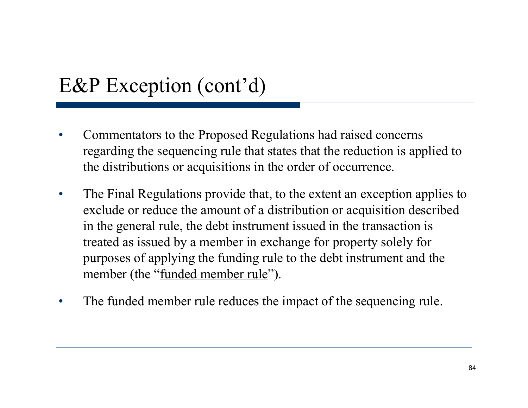- • Commentators to the Proposed Regulations had raised concerns regarding the sequencing rule that states that the reduction is applied to the distributions or acquisitions in the order of occurrence.
- $\bullet$  The Final Regulations provide that, to the extent an exception applies to exclude or reduce the amount of a distribution or acquisition described in the general rule, the debt instrument issued in the transaction is treated as issued by a member in exchange for property solely for purposes of applying the funding rule to the debt instrument and the member (the "<u>funded member rule</u>" ).
- •The funded member rule reduces the impact of the sequencing rule.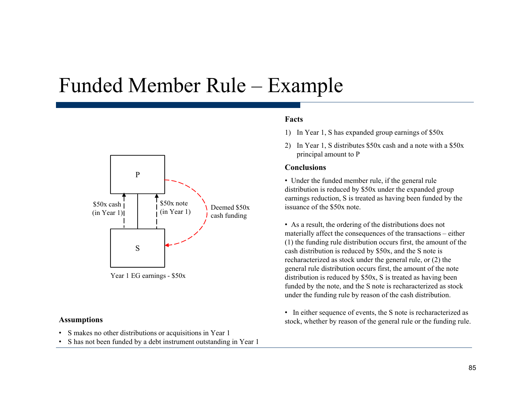### Funded Member Rule – Example



- S makes no other distributions or acquisitions in Year 1
- •S has not been funded by a debt instrument outstanding in Year 1

#### **Facts**

- 1) In Year 1, S has expanded group earnings of \$50x
- 2) In Year 1, S distributes \$50x cash and a note with a \$50x principal amount to P

#### **Conclusions**

• Under the funded member rule, if the general rule distribution is reduced by \$50x under the expanded group earnings reduction, S is treated as having been funded by the issuance of the \$50x note.

• As a result, the ordering of the distributions does not materially affect the consequences of the transactions – either (1) the funding rule distribution occurs first, the amount of the cash distribution is reduced by \$50x, and the S note is recharacterized as stock under the general rule, or (2) the general rule distribution occurs first, the amount of the note Year 1 EG earnings - \$50x distribution is reduced by \$50x, S is treated as having been funded by the note, and the S note is recharacterized as stock under the funding rule by reason of the cash distribution.

• In either sequence of events, the S note is recharacterized as **Assumptions** stock, whether by reason of the general rule or the funding rule.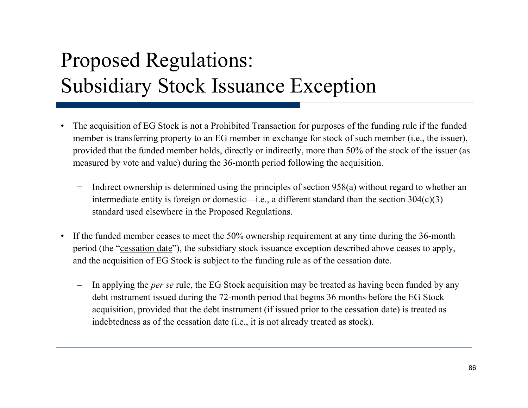# Proposed Regulations: Subsidiary Stock Issuance Exception

- •• The acquisition of EG Stock is not a Prohibited Transaction for purposes of the funding rule if the funded member is transferring property to an EG member in exchange for stock of such member (i.e., the issuer), provided that the funded member holds, directly or indirectly, more than 50% of the stock of the issuer (as measured by vote and value) during the 36-month period following the acquisition.
	- Indirect ownership is determined using the principles of section 958(a) without regard to whether an intermediate entity is foreign or domestic—i.e., a different standard than the section 304(c)(3) standard used elsewhere in the Proposed Regulations.
- $\bullet$  If the funded member ceases to meet the 50% ownership requirement at any time during the 36-month period (the "cessation date"), the subsidiary stock issuance exception described above ceases to apply, and the acquisition of EG Stock is subject to the funding rule as of the cessation date.
	- In applying the *per se* rule, the EG Stock acquisition may be treated as having been funded by any debt instrument issued during the 72-month period that begins 36 months before the EG Stock acquisition, provided that the debt instrument (if issued prior to the cessation date) is treated as indebtedness as of the cessation date (i.e., it is not already treated as stock).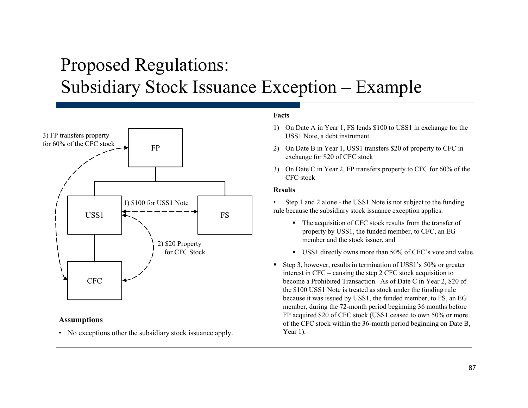### Proposed Regulations: Subsidiary Stock Issuance Exception – Example



#### **Assumptions**

• No exceptions other the subsidiary stock issuance apply. Year 1).

#### **Facts**

- 1) On Date A in Year 1, FS lends \$100 to USS1 in exchange for the USS1 Note, a debt instrument
- 2) On Date B in Year 1, USS1 transfers \$20 of property to CFC in exchange for \$20 of CFC stock
- 3) On Date C in Year 2, FP transfers property to CFC for 60% of the CFC stock

#### **Results**

• Step 1 and 2 alone - the USS1 Note is not subject to the funding rule because the subsidiary stock issuance exception applies.

- The acquisition of CFC stock results from the transfer of property by USS1, the funded member, to CFC, an EG<br>member and the stock issuer, and
- $\blacksquare$ USS1 directly owns more than 50% of CFC's vote and value.
- Step 3, however, results in termination of USS1's 50% or greater interest in CFC – causing the step 2 CFC stock acquisition to C  $\leftarrow$   $\leftarrow$   $\leftarrow$   $\leftarrow$   $\leftarrow$   $\leftarrow$   $\leftarrow$   $\leftarrow$   $\leftarrow$   $\leftarrow$   $\leftarrow$   $\leftarrow$   $\leftarrow$   $\leftarrow$   $\leftarrow$   $\leftarrow$   $\leftarrow$   $\leftarrow$   $\leftarrow$   $\leftarrow$   $\leftarrow$   $\leftarrow$   $\leftarrow$   $\leftarrow$   $\leftarrow$   $\leftarrow$   $\leftarrow$   $\leftarrow$   $\leftarrow$   $\leftarrow$   $\leftarrow$   $\leftarrow$   $\leftarrow$   $\leftarrow$   $\leftarrow$   $\leftarrow$   $\left$ the \$100 USS1 Note is treated as stock under the funding rule because it was issued by USS1, the funded member, to FS, an EG member, during the 72-month period beginning 36 months before FP acquired \$20 of CFC stock (USS1 ceased to own 50% or more of the CFC stock within the 36-month period beginning on Date B, Year 1).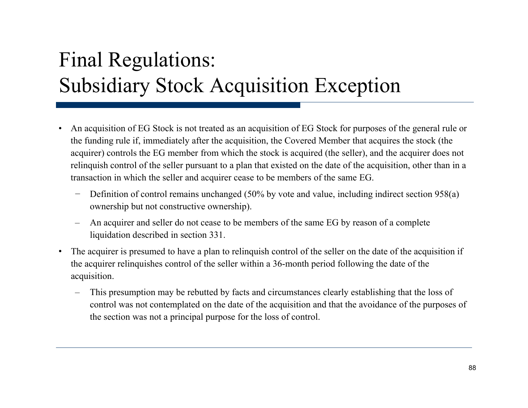# Final Regulations: Subsidiary Stock Acquisition Exception

- $\bullet$ An acquisition of EG Stock is not treated as an acquisition of EG Stock for purposes of the general rule or the funding rule if, immediately after the acquisition, the Covered Member that acquires the stock (the acquirer) controls the EG member from which the stock is acquired (the seller), and the acquirer does not relinquish control of the seller pursuant to a plan that existed on the date of the acquisition, other than in a transaction in which the seller and acquirer cease to be members of the same EG.
	- − Definition of control remains unchanged (50% by vote and value, including indirect section 958(a) ownership but not constructive ownership).
	- An acquirer and seller do not cease to be members of the same EG by reason of a complete liquidation described in section 331.
- $\bullet$  The acquirer is presumed to have a plan to relinquish control of the seller on the date of the acquisition if the acquirer relinquishes control of the seller within a 36-month period following the date of the acquisition.
	- This presumption may be rebutted by facts and circumstances clearly establishing that the loss of control was not contemplated on the date of the acquisition and that the avoidance of the purposes of the section was not a principal purpose for the loss of control.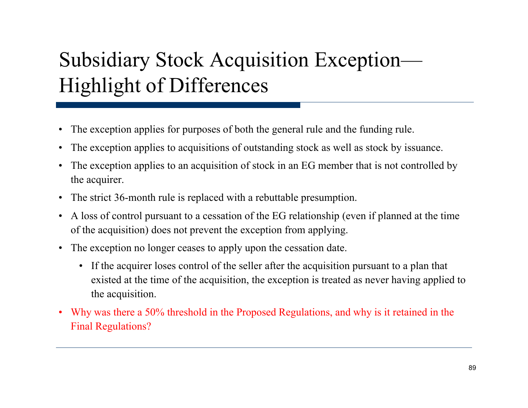# Subsidiary Stock Acquisition Exception— Hi ghli ght of Differences

- $\bullet$ • The exception applies for purposes of both the general rule and the funding rule.
- $\bullet$ The exception applies to acquisitions of outstanding stock as well as stock by issuance.
- $\bullet$  The exception applies to an acquisition of stock in an EG member that is not controlled by the acquirer.
- The strict 36-month rule is replaced with a rebuttable presumption.
- $\bullet$  A loss of control pursuant to a cessation of the EG relationship (even if planned at the time of the acquisition) does not prevent the exception from applying.
- The exception no longer ceases to apply upon the cessation date.
	- If the acquirer loses control of the seller after the acquisition pursuant to a plan that existed at the time of the acquisition, the exception is treated as never having applied to the acquisition.
- $\bullet$  Why was there a 50% threshold in the Proposed Regulations, and why is it retained in the Final Regulations?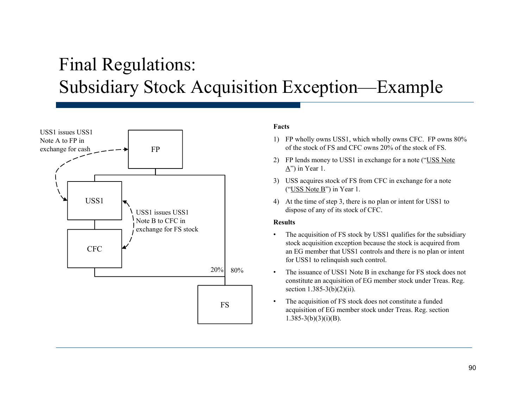### Final Regulations: Subsidiary Stock Acquisition Exception—Example



#### **Facts**

- 1) FP wholly owns USS1, which wholly owns CFC. FP owns 80% of the stock of FS and CFC owns 20% of the stock of FS.
- 2) FP lends money to USS1 in exchange for a note ("USS Note  $\underline{A}$ ") in Year 1.
- 3) USS acquires stock of FS from CFC in exchange for a note ("USS Note B") in Year 1.
- 4) At the time of step 3, there is no plan or intent for USS1 to dispose of any of its stock of CFC.

#### **Results**

- • The acquisition of FS stock by USS1 qualifies for the subsidiary stock acquisition exception because the stock is acquired from an EG member that USS1 controls and there is no plan or intent for USS1 to relinquish such control.
- • The issuance of USS1 Note B in exchange for FS stock does not constitute an acquisition of EG member stock under Treas. Reg. section 1.385-3(b)(2)(ii).
- • The acquisition of FS stock does not constitute a funded acquisition of EG member stock under Treas. Reg. section  $1.385-3(b)(3)(i)(B)$ .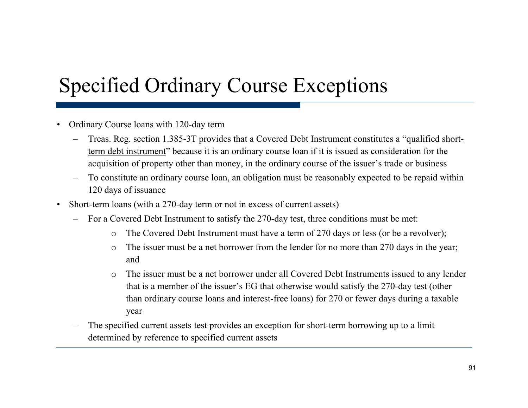### Specified Ordinary Course Exceptions

- •Ordinary Course loans with 120-day term
	- – Treas. Reg. section 1.385-3T provides that a Covered Debt Instrument constitutes a "qualified shortterm debt instrument" because it is an ordinary course loan if it is issued as consideration for the acquisition of property other than money, in the ordinary course of the issuer's trade or business
	- –To constitute an ordinary course loan, an obligation must be reasonably expected to be repaid within 120 days of issuance
- $\bullet$  Short-term loans (with a 270-day term or not in excess of current assets)
	- – For a Covered Debt Instrument to satisfy the 270-day test, three conditions must be met:
		- $\Omega$ The Covered Debt Instrument must have a term of 270 days or less (or be a revolver);
		- o The issuer must be a net borrower from the lender for no more than 270 days in the year; and
		- o The issuer must be a net borrower under all Covered Debt Instruments issued to any lender that is a member of the issuer's EG that otherwise would satisfy the 270-day test (other than ordinary course loans and interest-free loans) for 270 or fewer days during a taxable year
	- – The specified current assets test provides an exception for short-term borrowing up to a limit determined by reference to specified current assets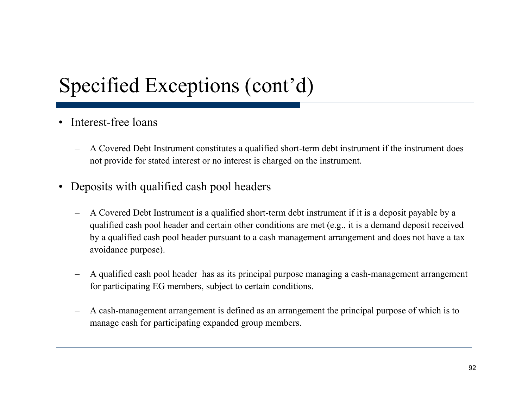### Specified Exceptions (cont'd)

- Interest-free loans
	- – A Covered Debt Instrument constitutes a qualified short-term debt instrument if the instrument does not provide for stated interest or no interest is charged on the instrument.
- $\bullet$  Deposits with qualified cash pool headers
	- – A Covered Debt Instrument is a qualified short-term debt instrument if it is a deposit payable by a qualified cash pool header and certain other conditions are met (e.g., it is a demand deposit received by a qualified cash pool header pursuant to a cash management arrangement and does not have a tax avoidance purpose).
	- – A qualified cash pool header has as its principal purpose managing a cash-management arrangement for participating EG members, subject to certain conditions.
	- – A cash-management arrangement is defined as an arrangement the principal purpose of which is to manage cash for participating expanded group members.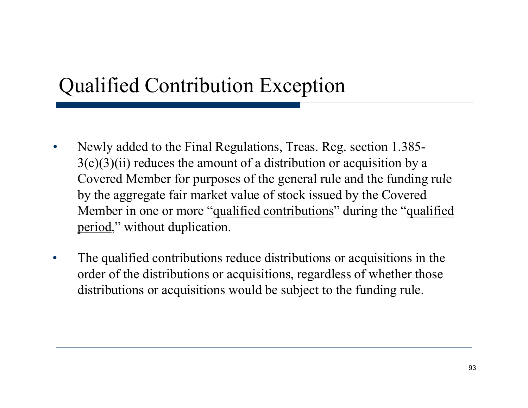### Qualified Contribution Exception

- $\bullet$  Newly added to the Final Regulations, Treas. Reg. section 1.385-  $3(c)(3)(ii)$  reduces the amount of a distribution or acquisition by a Covered Member for purposes of the general rule and the funding rule by the aggregate fair market value of stock issued by the Covered Member in one or more "qualified contributions" during the "qualified" period," without duplication.
- $\bullet$  The qualified contributions reduce distributions or acquisitions in the order of the distributions or acquisitions, regardless of whether those distributions or acquisitions would be subject to the funding rule.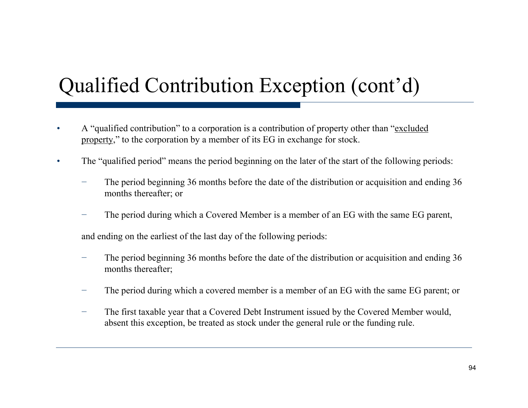# Qualified Contribution Exception (cont'd)

- •• A "qualified contribution" to a corporation is a contribution of property other than "excluded property," to the corporation by a member of its EG in exchange for stock.
- •The "qualified period" means the period beginning on the later of the start of the following periods:
	- The period beginning 36 months before the date of the distribution or acquisition and ending 36 months thereafter; or
	- The period during which a Covered Member is a member of an EG with the same EG parent,

and ending on the earliest of the last day of the following periods:

- The period beginning 36 months before the date of the distribution or acquisition and ending 36 months thereafter;
- The period during which a covered member is a member of an EG with the same EG parent; or
- − The first taxable year that a Covered Debt Instrument issued by the Covered Member would, absent this exception, be treated as stock under the general rule or the funding rule.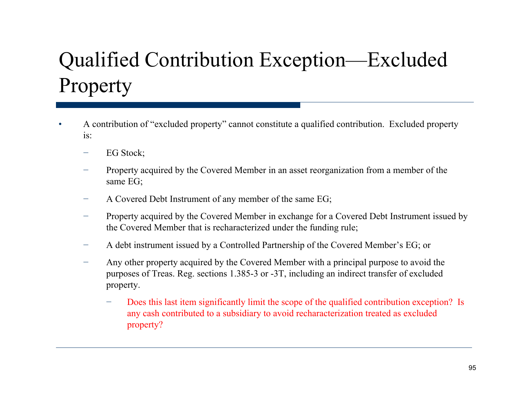# Qualified Contribution Exception—Excluded Propert y

- •• A contribution of "excluded property" cannot constitute a qualified contribution. Excluded property is:
	- EG Stock;
	- Property acquired by the Covered Member in an asset reorganization from a member of the same EG;
	- A Covered Debt Instrument of any member of the same EG;
	- Property acquired by the Covered Member in exchange for a Covered Debt Instrument issued by the Covered Member that is recharacterized under the funding rule;
	- A debt instrument issued by a Controlled Partnership of the Covered Member's EG; or
	- − Any other property acquired by the Covered Member with a principal purpose to avoid the purposes of Treas. Reg. sections 1.385-3 or -3T, including an indirect transfer of excluded property.
		- Does this last item significantly limit the scope of the qualified contribution exception? Is any cash contributed to a subsidiary to avoid recharacterization treated as excluded property?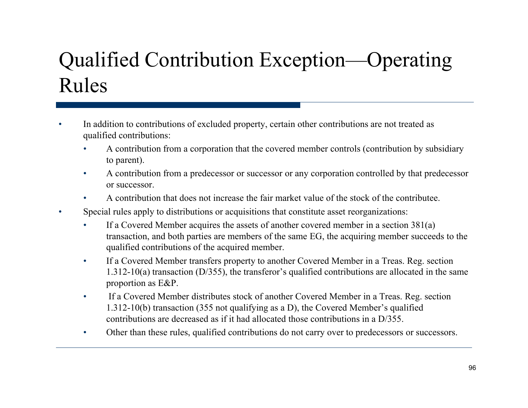# Qualified Contribution Exception—Operating Rules

- •In addition to contributions of excluded property, certain other contributions are not treated as qualified contributions:
	- • A contribution from a corporation that the covered member controls (contribution by subsidiary to parent).
	- •• A contribution from a predecessor or successor or any corporation controlled by that predecessor or successor.
	- •A contribution that does not increase the fair market value of the stock of the contributee.
- • Special rules apply to distributions or acquisitions that constitute asset reorganizations:
	- •If a Covered Member acquires the assets of another covered member in a section  $381(a)$ transaction, and both parties are members of the same EG, the acquiring member succeeds to the qualified contributions of the acquired member.
	- • If a Covered Member transfers property to another Covered Member in a Treas. Reg. section 1.312-10(a) transaction (D/355), the transferor's qualified contributions are allocated in the same proportion as  $E\&P$ .
	- • If a Covered Member distributes stock of another Covered Member in a Treas. Reg. section 1.312-10(b) transaction (355 not qualifying as a D), the Covered Member's qualified contributions are decreased as if it had allocated those contributions in a D/355.
	- •Other than these rules, qualified contributions do not carry over to predecessors or successors.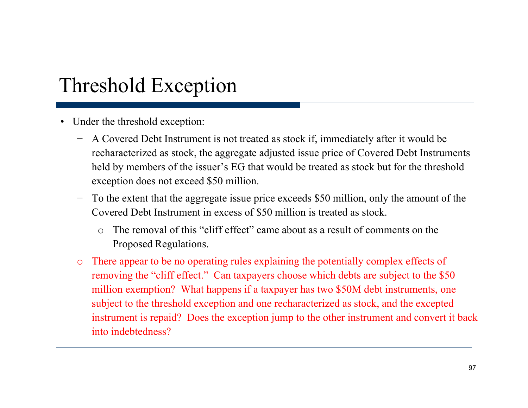### Threshold Exception

- Under the threshold exception:
	- − A Covered Debt Instrument is not treated as stock if, immediately after it would be recharacterized as stock, the aggregate adjusted issue price of Covered Debt Instruments held by members of the issuer's EG that would be treated as stock but for the threshold exception does not exceed \$50 million.
	- To the extent that the aggregate issue price exceeds \$50 million, only the amount of the Covered Debt Instrument in excess of \$50 million is treated as stock.
		- o $\circ$  The removal of this "cliff effect" " came about as <sup>a</sup> result of comments on the Proposed Regulations.
	- o There appear to be no operating rules explaining the potentially complex effects of removing the "cliff effect." Can taxpayers choose which debts are subject to the \$50 million exemption? What happens if a taxpayer has two \$50M debt instruments, one subject to the threshold exception and one recharacterized as stock, and the excepted instrument is repaid? Does the exception jump to the other instrument and convert it back into indebtedness?. . . . . . . . . . . . .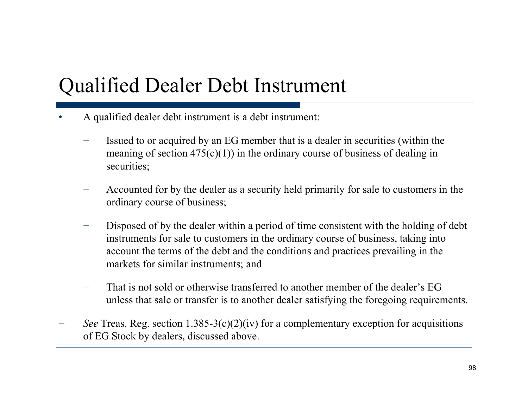### Qualified Dealer Debt Instrument

- • A qualified dealer debt instrument is a debt instrument:
	- Issued to or acquired by an EG member that is a dealer in securities (within the meaning of section  $475(c)(1)$  in the ordinary course of business of dealing in securities;
	- Accounted for by the dealer as a security held primarily for sale to customers in the ordinary course of business;
	- Disposed of by the dealer within a period of time consistent with the holding of debt instruments for sale to customers in the ordinary course of business, taking into account the terms of the debt and the conditions and practices prevailing in the markets for similar instruments; and
	- That is not sold or otherwise transferred to another member of the dealer's EG unless that sale or transfer is to another dealer satisfying the foregoing requirements.
- *See* Treas. Reg. section  $1.385-3(c)(2)(iv)$  for a complementary exception for acquisitions of EG Stock by dealers, discussed above.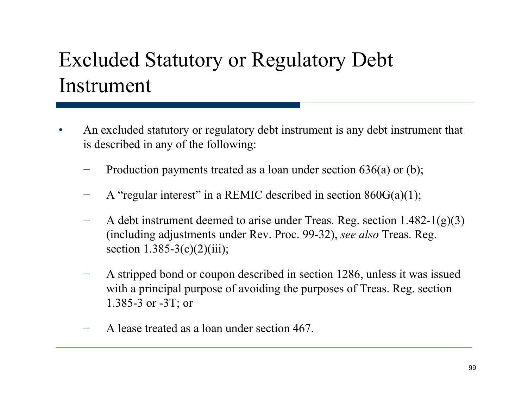### Excluded Statutory or Regulatory Debt Instrument

- •• An excluded statutory or regulatory debt instrument is any debt instrument that is described in any of the following:
	- Production payments treated as a loan under section 636(a) or (b);
	- −A "regular interest" in a REMIC described in section  $860G(a)(1)$ ;
	- A debt instrument deemed to arise under Treas. Reg. section 1.482-1(g)(3) (including adjustments under Rev. Proc. 99-32), *see also* Treas. Reg. section  $1.385-3(c)(2)(iii)$ ;
	- − A stripped bond or coupon described in section 1286, unless it was issued with a principal purpose of avoiding the purposes of Treas. Reg. section 1.385-3 or -3T; or
	- − $-$  A lease treated as a loan under section 467.  $-$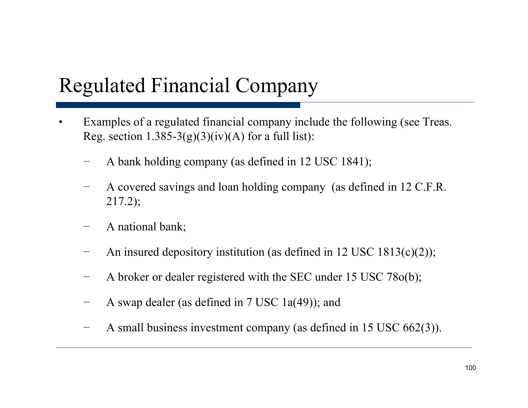### Regulated Financial Company

- •Examples of a regulated financial company include the following (see Treas. Reg. section  $1.385-3(g)(3)(iv)(A)$  for a full list):
	- A bank holding company (as defined in 12 USC 1841);
	- − A covered savings and loan holding company (as defined in 12 C.F.R. 217.2);
	- A national bank;
	- −An insured depository institution (as defined in 12 USC 1813(c)(2));
	- A broker or dealer registered with the SEC under  $15$  USC 78 $o(b)$ ;
	- −A swap dealer (as defined in 7 USC 1a(49)); and
	- −A small business investment company (as defined in  $15 \text{ USC } 662(3)$ ).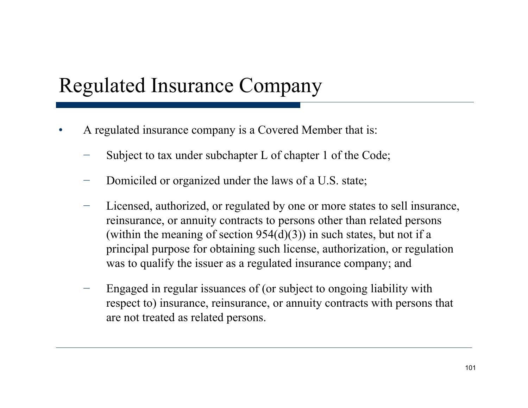### Regulated Insurance Company

- •A regulated insurance company is a Covered Member that is:
	- −Subject to tax under subchapter L of chapter 1 of the Code;
	- Domiciled or organized under the laws of a U.S. state;
	- − Licensed, authorized, or regulated by one or more states to sell insurance, reinsurance, or annuity contracts to persons other than related persons (within the meaning of section  $954(d)(3)$ ) in such states, but not if a principal purpose for obtaining such license, authorization, or regulation was to qualify the issuer as a regulated insurance company; and
	- Engaged in regular issuances of (or subject to ongoing liability with respect to) insurance, reinsurance, or annuity contracts with persons that are not treated as related persons.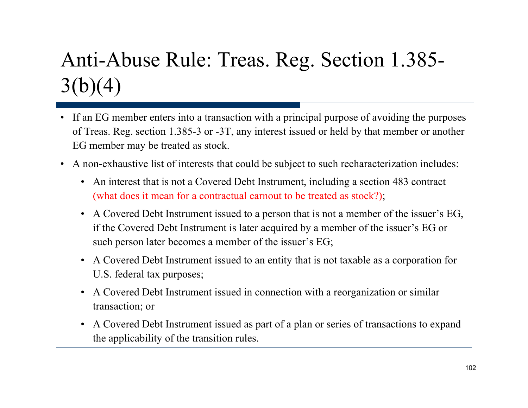# Anti-Abuse Rule: Treas. Reg. Section 1.385-  $3(b)(4)$

- If an EG member enters into a transaction with a principal purpose of avoiding the purposes of Treas. Reg. section 1.385-3 or -3T, any interest issued or held by that member or another EG member may be treated as stock.
- A non-exhaustive list of interests that could be subject to such recharacterization includes:
	- An interest that is not a Covered Debt Instrument, including a section 483 contract (what does it mean for a contractual earnout to be treated as stock?);
	- A Covered Debt Instrument issued to a person that is not a member of the issuer's EG, if the Covered Debt Instrument is later acquired by a member of the issuer's EG or such person later becomes a member of the issuer's EG;
	- A Covered Debt Instrument issued to an entity that is not taxable as a corporation for U.S. federal tax purposes;
	- A Covered Debt Instrument issued in connection with a reorganization or similar transaction; or
	- A Covered Debt Instrument issued as part of a plan or series of transactions to expand the applicability of the transition rules.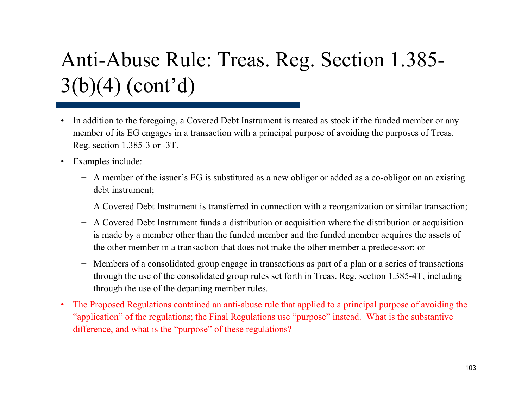# Anti-Abuse Rule: Treas. Reg. Section 1.385- 3(b)(4) (cont'd)

- $\bullet$  In addition to the foregoing, a Covered Debt Instrument is treated as stock if the funded member or any member of its EG engages in a transaction with a principal purpose of avoiding the purposes of Treas. Reg. section 1.385-3 or -3T.
- • Examples include:
	- − A member of the issuer's EG is substituted as a new obligor or added as a co-obligor on an existing debt instrument;
	- − A Covered Debt Instrument is transferred in connection with a reorganization or similar transaction;
	- − A Covered Debt Instrument funds a distribution or acquisition where the distribution or acquisition is made by a member other than the funded member and the funded member acquires the assets of the other member in a transaction that does not make the other member a predecessor; or
	- − Members of a consolidated group engage in transactions as part of a plan or a series of transactions through the use of the consolidated group rules set forth in Treas. Reg. section 1.385-4T, including through the use of the departing member rules.
- • The Proposed Regulations contained an anti-abuse rule that applied to a principal purpose of avoiding the "application" of the regulations; the Final Regulations use "purpose" instead. What is the substantive difference, and what is the "purpose" of these regulations?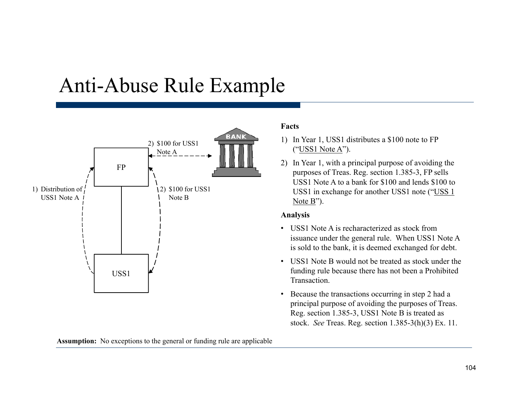### Anti-Abuse Rule Example



#### **Facts**

- 1) In Year 1, USS1 distributes a \$100 note to FP ("USS1 Note A").
- 2) In Year 1, with a principal purpose of avoiding the FP  $\begin{array}{c} \hline \text{where} \\ \text{where} \end{array}$  by  $\begin{array}{c} \hline \text{where} \\ \text{Sup} \text{ the number of two-1385-3,} \\ \text{Sup} \text{ is the number of two-1385-3.} \end{array}$  FP sells USS1 Note A to a bank for \$100 and lends \$100 to USS1 in exchange for another USS1 note ("USS 1 Note B").

#### **Analysis**

- USS1 Note A is recharacterized as stock from issuance under the general rule. When USS1 Note A is sold to the bank, it is deemed exchanged for debt.
- USS1 Note B would not be treated as stock under the funding rule because there has not been a Prohibited Transaction.
- Because the transactions occurring in step 2 had a principal purpose of avoiding the purposes of Treas. Reg. section 1.385-3, USS1 Note B is treated as stock. *See* Treas. Reg. section 1.385-3(h)(3) Ex. 11.

**Assumption:** No exceptions to the general or funding rule are applicable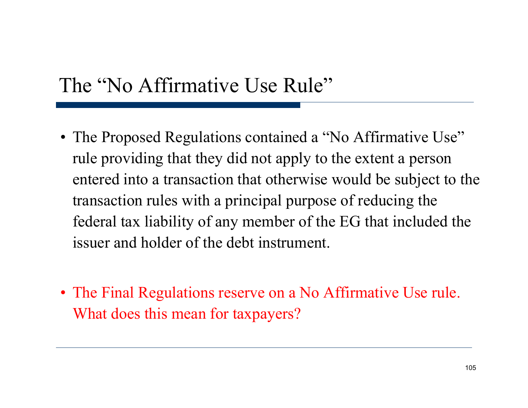### The "No Affirmative Use Rule"

- The Proposed Regulations contained a "No Affirmative Use" rule providing that they did not apply to the extent a person entered into a transaction that otherwise would be subject to the transaction rules with a principal purpose of reducing the federal tax liability of any member of the EG that included the issuer and holder of the debt instrument.
- The Final Regulations reserve on a No Affirmative Use rule. What does this mean for taxpayers?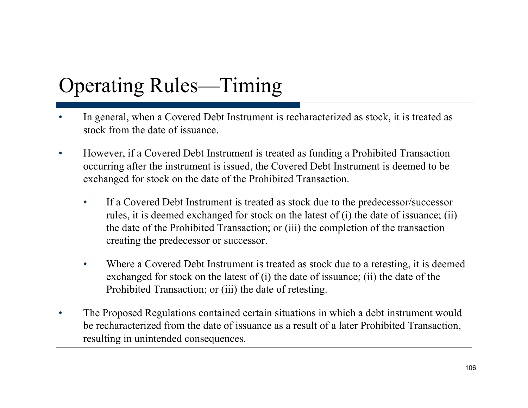# Operating Rules—Timing

- • In general, when a Covered Debt Instrument is recharacterized as stock, it is treated as stock from the date of issuance.
- $\bullet$  However, if a Covered Debt Instrument is treated as funding a Prohibited Transaction occurring after the instrument is issued, the Covered Debt Instrument is deemed to be exchanged for stock on the date of the Prohibited Transaction.
	- • If a Covered Debt Instrument is treated as stock due to the predecessor/successor rules, it is deemed exchanged for stock on the latest of (i) the date of issuance; (ii) the date of the Prohibited Transaction; or (iii) the completion of the transaction creating the predecessor or successor.
	- $\bullet$  Where a Covered Debt Instrument is treated as stock due to a retesting, it is deemed exchanged for stock on the latest of (i) the date of issuance; (ii) the date of the Prohibited Transaction; or (iii) the date of retesting.
- $\bullet$  The Proposed Regulations contained certain situations in which a debt instrument would be recharacterized from the date of issuance as a result of a later Prohibited Transaction, resulting in unintended consequences.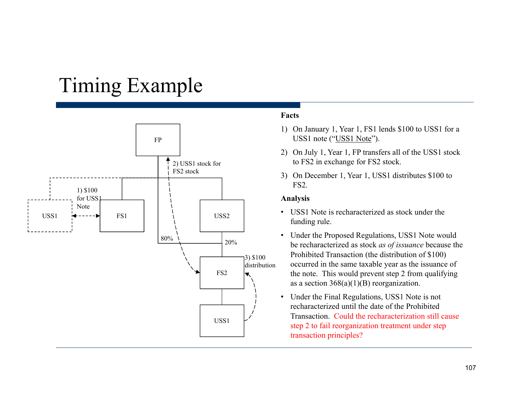### Timing Example



### **Facts**

- 1) On January 1, Year 1, FS1 lends \$100 to USS1 for a USS1 note ("USS1 Note").
- 2) On July 1, Year 1, FP transfers all of the USS1 stock to FS2 in exchange for FS2 stock.
- 3) On December 1, Year 1, USS1 distributes \$100 to FS2. **FS2.**

#### **Analysis**

- USS1 Note is recharacterized as stock under the funding rule.
- Under the Proposed Regulations, USS1 Note would be recharacterized as stock *as of issuance* because the Prohibited Transaction (the distribution of \$100) occurred in the same taxable year as the issuance of the note. This would prevent step 2 from qualifying as a section  $368(a)(1)(B)$  reorganization.
- Under the Final Regulations, USS1 Note is not recharacterized until the date of the Prohibited Transaction. Could the recharacterization still cause USS1 ransaction. Could the recharacterization stiff contains the step 2 to fail reorganization treatment under step transaction principles?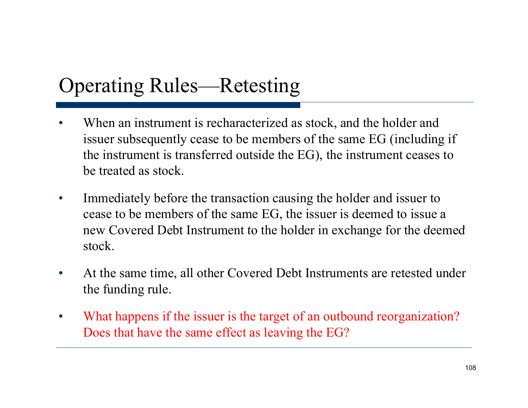### Operating Rules—Retesting

- •When an instrument is recharacterized as stock, and the holder and issuer subsequently cease to be members of the same EG (including if the instrument is transferred outside the EG), the instrument ceases to be treated as stock.
- $\bullet$  Immediately before the transaction causing the holder and issuer to cease to be members of the same EG, the issuer is deemed to issue a new Covered Debt Instrument to the holder in exchange for the deemed stock.
- • At the same time, all other Covered Debt Instruments are retested under the funding rule.
- • What happens if the issuer is the target of an outbound reorganization? Does that have the same effect as leaving the EG?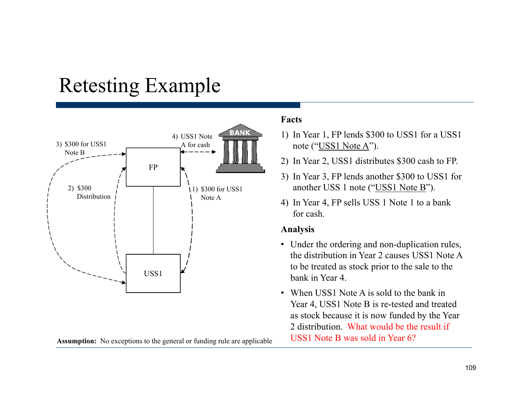### Retesting Example



Assumption: No exceptions to the general or funding rule are applicable USS1 Note B was sold in Year 6?

### **Facts**

- 1) In Year 1, FP lends \$300 to USS1 for a USS1 note ("USS1 Note A").
- 2) In Year 2, USS1 distributes \$300 cash to FP.
- 3) In Year 3, FP lends another \$300 to USS1 for another USS 1 note ("USS1 Note B").
- 4) In Year 4, FP sells USS 1 Note 1 to a bank for cash.

#### **Analysis**

- Under the ordering and non-duplication rules, the distribution in Year 2 causes USS1 Note A to be treated as stock prior to the sale to the
- When USS1 Note A is sold to the bank in Year 4, USS1 Note B is re-tested and treated as stock because it is now funded by the Year 2 distribution. What would be the result if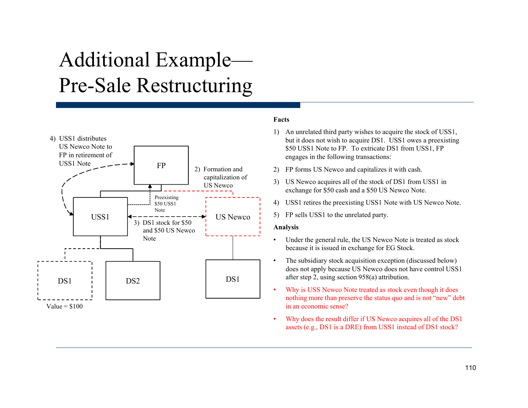# Additional Example— Pre-Sale Restructurin g



#### **Facts**

- 1) An unrelated third party wishes to acquire the stock of USS1, but it does not wish to acquire DS1. USS1 owes a preexisting \$50 USS1 Note to FP. To extricate DS1 from USS1, FP engages in the following transactions:
- 
- 3) US Newco acquires all of the stock of DS1 from USS1 in exchange for \$50 cash and a \$50 US Newco Note.
- 4) USS1 retires the preexisting USS1 Note with US Newco Note.
- 5) FP sells USS1 to the unrelated party.

#### **Analysis**

- • Under the general rule, the US Newco Note is treated as stock because it is issued in exchange for EG Stock.
- • The subsidiary stock acquisition exception (discussed below) does not apply because US Newco does not have control USS1
- • Why is USS Newco Note treated as stock even though it does nothing more than preserve the status quo and is not "new" debt in an economic sense?
- • Why does the result differ if US Newco acquires all of the DS1 assets (e.g., DS1 is a DRE) from USS1 instead of DS1 stock?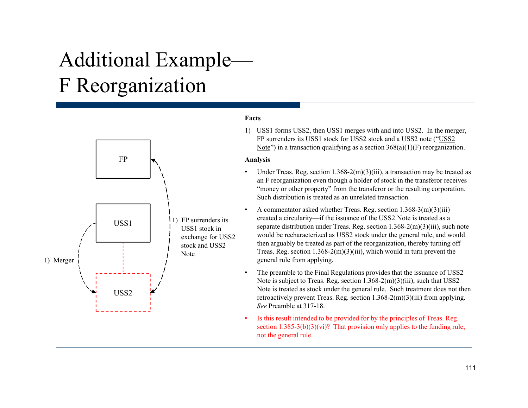# Additional Example— F Reor ganization



#### **Facts**

1) USS1 forms USS2, then USS1 merges with and into USS2. In the merger, FP surrenders its USS1 stock for USS2 stock and a USS2 note ("USS2 Note") in a transaction qualifying as a section  $368(a)(1)(F)$  reorganization.

#### **Analysis**

- • Under Treas. Reg. section 1.368-2(m)(3)(iii), a transaction may be treated as an F reorganization even though a holder of stock in the transferor receives "money or other property" from the transferor or the resulting corporation. Such distribution is treated as an unrelated transaction.
- • A commentator asked whether Treas. Reg. section 1.368-3(m)(3)(iii) USS1 1) FP surrenders its created a circularity—if the issuance of the USS2 Note is treated as a created interval  $1269.2 \times 10^{12}$  m parate distribution under Treas. Reg. section 1.368-2(m)(3)(iii), such note USS1 stock in separate distribution under Treas. Reg. section 1.368-2(m)(3)(iii), such note would be recharacterized as USS2 stock under the general rule, and would then arguably be treated as part of the reorganization, thereby turning off Treas. Reg. section  $1.368-2(m)(3)(iii)$ , which would in turn prevent the general rule from applying.
	- • The preamble to the Final Regulations provides that the issuance of USS2 Note is subject to Treas. Reg. section  $1.368 - 2(m)(3)(iii)$ , such that USS2 Note is treated as stock under the general rule. Such treatment does not then retroactively prevent Treas. Reg. section  $1.368-2(m)(3)(iii)$  from applying. *See* Preamble at 317-18.
	- • Is this result intended to be provided for by the principles of Treas. Reg. section  $1.385-3(b)(3)(vi)$ ? That provision only applies to the funding rule, not the general rule.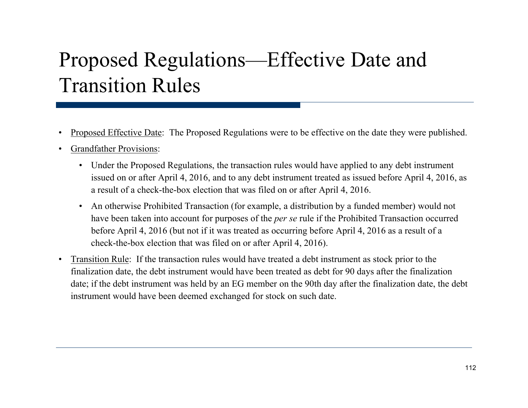# Proposed Regulations—Effective Date and Transition Rules

- •Proposed Effective Date: The Proposed Regulations were to be effective on the date they were published.
- • Grandfather Provisions:
	- Under the Proposed Regulations, the transaction rules would have applied to any debt instrument issued on or after April 4, 2016, and to any debt instrument treated as issued before April 4, 2016, as a result of a check-the-box election that was filed on or after April 4, 2016.
	- An otherwise Prohibited Transaction (for example, a distribution by a funded member) would not have been taken into account for purposes of the *per se* rule if the Prohibited Transaction occurred before April 4, 2016 (but not if it was treated as occurring before April 4, 2016 as a result of a check-the-box election that was filed on or after April 4, 2016).
- $\bullet$  Transition Rule: If the transaction rules would have treated a debt instrument as stock prior to the finalization date, the debt instrument would have been treated as debt for 90 days after the finalization date; if the debt instrument was held by an EG member on the 90th day after the finalization date, the debt instrument would have been deemed exchanged for stock on such date.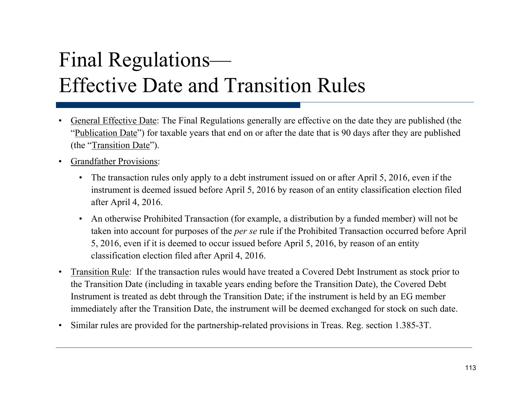# Final Regulations— Effective Date and Transition Rules

- • General Effective Date: The Final Regulations generally are effective on the date they are published (the "Publication Date") for taxable years that end on or after the date that is 90 days after they are published (the "Transition Date").
- $\bullet$  Grandfather Provisions:
	- The transaction rules only apply to a debt instrument issued on or after April 5, 2016, even if the instrument is deemed issued before April 5, 2016 by reason of an entity classification election filed after April 4, 2016.
	- An otherwise Prohibited Transaction (for example, a distribution by a funded member) will not be taken into account for purposes of the *per se* rule if the Prohibited Transaction occurred before April 5, 2016, even if it is deemed to occur issued before April 5, 2016, by reason of an entity classification election filed after April 4, 2016.
- • Transition Rule: If the transaction rules would have treated a Covered Debt Instrument as stock prior to the Transition Date (including in taxable years ending before the Transition Date), the Covered Debt Instrument is treated as debt through the Transition Date; if the instrument is held by an EG member immediately after the Transition Date, the instrument will be deemed exchanged for stock on such date.
- $\bullet$ Similar rules are provided for the partnership-related provisions in Treas. Reg. section 1.385-3T.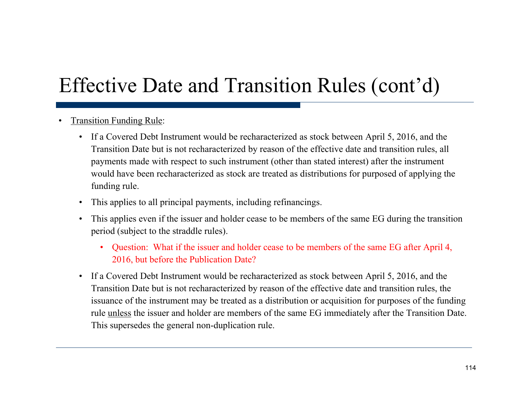# Effective Date and Transition Rules (cont'd)

- • Transition Funding Rule:
	- If a Covered Debt Instrument would be recharacterized as stock between April 5, 2016, and the Transition Date but is not recharacterized by reason of the effective date and transition rules, all payments made with respect to such instrument (other than stated interest) after the instrument would have been recharacterized as stock are treated as distributions for purposed of applying the funding rule.
	- This applies to all principal payments, including refinancings.
	- This applies even if the issuer and holder cease to be members of the same EG during the transition period (subject to the straddle rules).
		- Question: What if the issuer and holder cease to be members of the same EG after April 4, 2016, but before the Publication Date?
	- If a Covered Debt Instrument would be recharacterized as stock between A pril 5, 2016, and the Transition Date but is not recharacterized by reason of the effective date and transition rules, the issuance of the instrument may be treated as a distribution or acquisition for purposes of the funding rule <u>unless</u> the issuer and holder are members of the same EG immediately after the Transition Date. This supersedes the general non-duplication rule.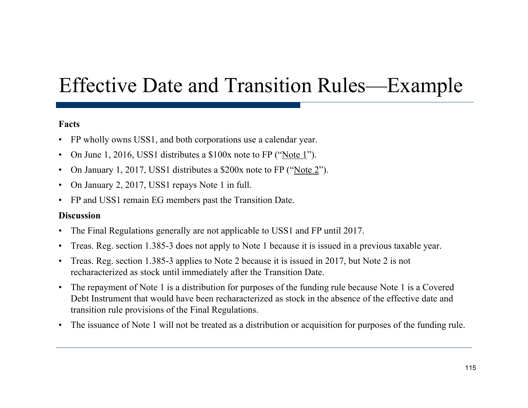## Effective Date and Transition Rules —Example

### **Facts**

- FP wholly owns USS1, and both corporations use a calendar year.
- •On June 1, 2016, USS1 distributes a \$100x note to FP ("Note 1").
- $\bullet$ On January 1, 2017, USS1 distributes a \$200x note to FP ("Note 2").
- $\bullet$ On January 2, 2017, USS1 repays Note 1 in full.
- FP and USS1 remain EG members past the Transition Date.

#### **Discussion**

- •• The Final Regulations generally are not applicable to USS1 and FP until 2017.
- $\bullet$ Treas. Reg. section 1.385-3 does not apply to Note 1 because it is issued in a previous taxable year.
- $\bullet$  Treas. Reg. section 1.385-3 applies to Note 2 because it is issued in 2017, but Note 2 is not recharacterized as stock until immediately after the Transition Date.
- $\bullet$  The repayment of Note 1 is a distribution for purposes of the funding rule because Note 1 is a Covered Debt Instrument that would have been recharacterized as stock in the absence of the effective date and transition rule provisions of the Final Regulations.
- •The issuance of Note 1 will not be treated as a distribution or acquisition for purposes of the funding rule.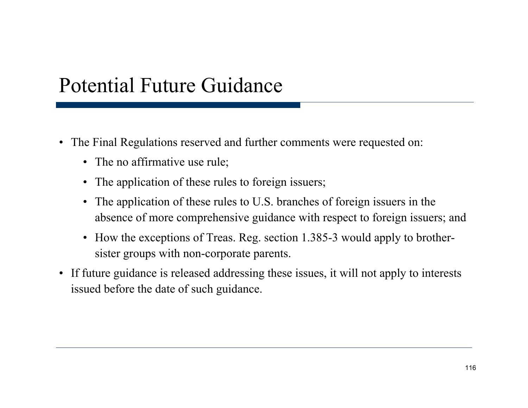## Potential Future Guidance

- The Final Regulations reserved and further comments were requested on:
	- The no affirmative use rule;
	- The application of these rules to foreign issuers;
	- The application of these rules to U.S. branches of foreign issuers in the absence of more comprehensive guidance with respect to foreign issuers; and
	- How the exceptions of Treas. Reg. section 1.385-3 would apply to brothersister groups with non-corporate parents.
- If future guidance is released addressing these issues, it will not apply to interests issued before the date of such guidance.